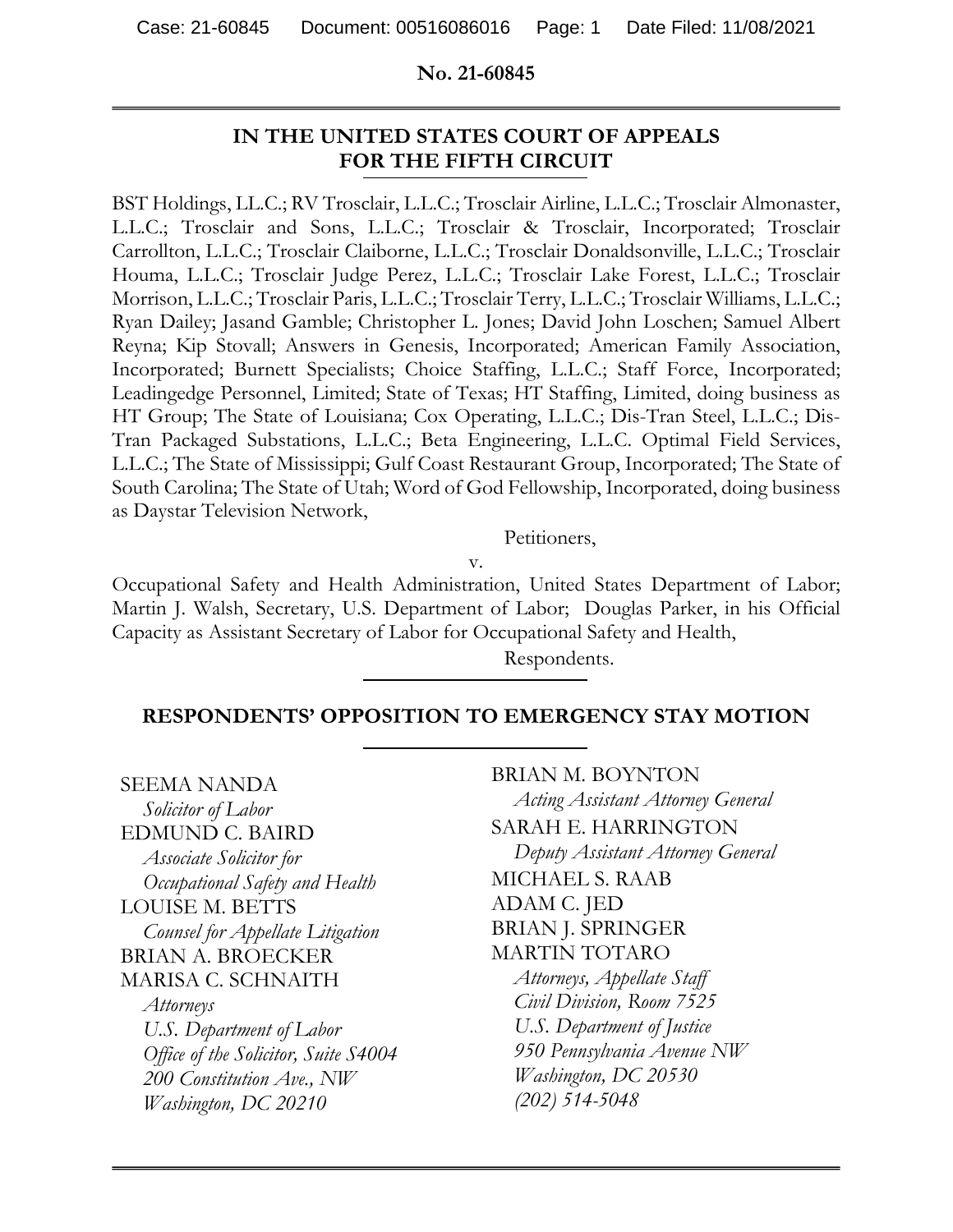#### **No. 21-60845**

## **IN THE UNITED STATES COURT OF APPEALS FOR THE FIFTH CIRCUIT**

BST Holdings, LL.C.; RV Trosclair, L.L.C.; Trosclair Airline, L.L.C.; Trosclair Almonaster, L.L.C.; Trosclair and Sons, L.L.C.; Trosclair & Trosclair, Incorporated; Trosclair Carrollton, L.L.C.; Trosclair Claiborne, L.L.C.; Trosclair Donaldsonville, L.L.C.; Trosclair Houma, L.L.C.; Trosclair Judge Perez, L.L.C.; Trosclair Lake Forest, L.L.C.; Trosclair Morrison, L.L.C.; Trosclair Paris, L.L.C.; Trosclair Terry, L.L.C.; Trosclair Williams, L.L.C.; Ryan Dailey; Jasand Gamble; Christopher L. Jones; David John Loschen; Samuel Albert Reyna; Kip Stovall; Answers in Genesis, Incorporated; American Family Association, Incorporated; Burnett Specialists; Choice Staffing, L.L.C.; Staff Force, Incorporated; Leadingedge Personnel, Limited; State of Texas; HT Staffing, Limited, doing business as HT Group; The State of Louisiana; Cox Operating, L.L.C.; Dis-Tran Steel, L.L.C.; Dis-Tran Packaged Substations, L.L.C.; Beta Engineering, L.L.C. Optimal Field Services, L.L.C.; The State of Mississippi; Gulf Coast Restaurant Group, Incorporated; The State of South Carolina; The State of Utah; Word of God Fellowship, Incorporated, doing business as Daystar Television Network,

Petitioners,

v.

Occupational Safety and Health Administration, United States Department of Labor; Martin J. Walsh, Secretary, U.S. Department of Labor; Douglas Parker, in his Official Capacity as Assistant Secretary of Labor for Occupational Safety and Health,

Respondents.

### **RESPONDENTS' OPPOSITION TO EMERGENCY STAY MOTION**

SEEMA NANDA *Solicitor of Labor*  EDMUND C. BAIRD *Associate Solicitor for Occupational Safety and Health* LOUISE M. BETTS *Counsel for Appellate Litigation*  BRIAN A. BROECKER MARISA C. SCHNAITH *Attorneys* 

*U.S. Department of Labor Office of the Solicitor, Suite S4004 200 Constitution Ave., NW Washington, DC 20210*

BRIAN M. BOYNTON *Acting Assistant Attorney General*  SARAH E. HARRINGTON *Deputy Assistant Attorney General*  MICHAEL S. RAAB ADAM C. JED BRIAN J. SPRINGER MARTIN TOTARO *Attorneys, Appellate Staff Civil Division, Room 7525 U.S. Department of Justice 950 Pennsylvania Avenue NW Washington, DC 20530 (202) 514-5048*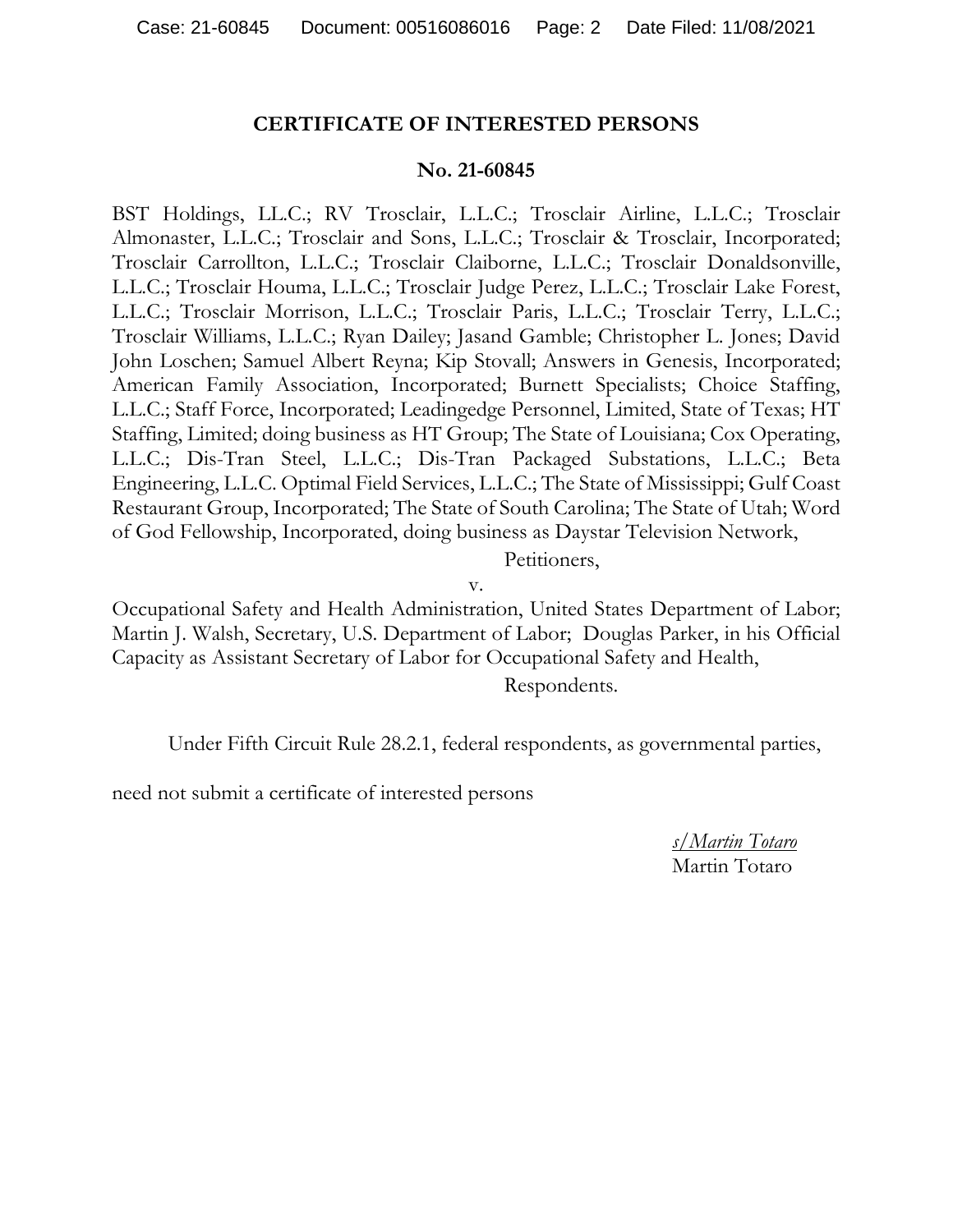#### **CERTIFICATE OF INTERESTED PERSONS**

#### **No. 21-60845**

BST Holdings, LL.C.; RV Trosclair, L.L.C.; Trosclair Airline, L.L.C.; Trosclair Almonaster, L.L.C.; Trosclair and Sons, L.L.C.; Trosclair & Trosclair, Incorporated; Trosclair Carrollton, L.L.C.; Trosclair Claiborne, L.L.C.; Trosclair Donaldsonville, L.L.C.; Trosclair Houma, L.L.C.; Trosclair Judge Perez, L.L.C.; Trosclair Lake Forest, L.L.C.; Trosclair Morrison, L.L.C.; Trosclair Paris, L.L.C.; Trosclair Terry, L.L.C.; Trosclair Williams, L.L.C.; Ryan Dailey; Jasand Gamble; Christopher L. Jones; David John Loschen; Samuel Albert Reyna; Kip Stovall; Answers in Genesis, Incorporated; American Family Association, Incorporated; Burnett Specialists; Choice Staffing, L.L.C.; Staff Force, Incorporated; Leadingedge Personnel, Limited, State of Texas; HT Staffing, Limited; doing business as HT Group; The State of Louisiana; Cox Operating, L.L.C.; Dis-Tran Steel, L.L.C.; Dis-Tran Packaged Substations, L.L.C.; Beta Engineering, L.L.C. Optimal Field Services, L.L.C.; The State of Mississippi; Gulf Coast Restaurant Group, Incorporated; The State of South Carolina; The State of Utah; Word of God Fellowship, Incorporated, doing business as Daystar Television Network,

Petitioners,

v.

Occupational Safety and Health Administration, United States Department of Labor; Martin J. Walsh, Secretary, U.S. Department of Labor; Douglas Parker, in his Official Capacity as Assistant Secretary of Labor for Occupational Safety and Health, Respondents.

Under Fifth Circuit Rule 28.2.1, federal respondents, as governmental parties,

need not submit a certificate of interested persons

*s/Martin Totaro*  Martin Totaro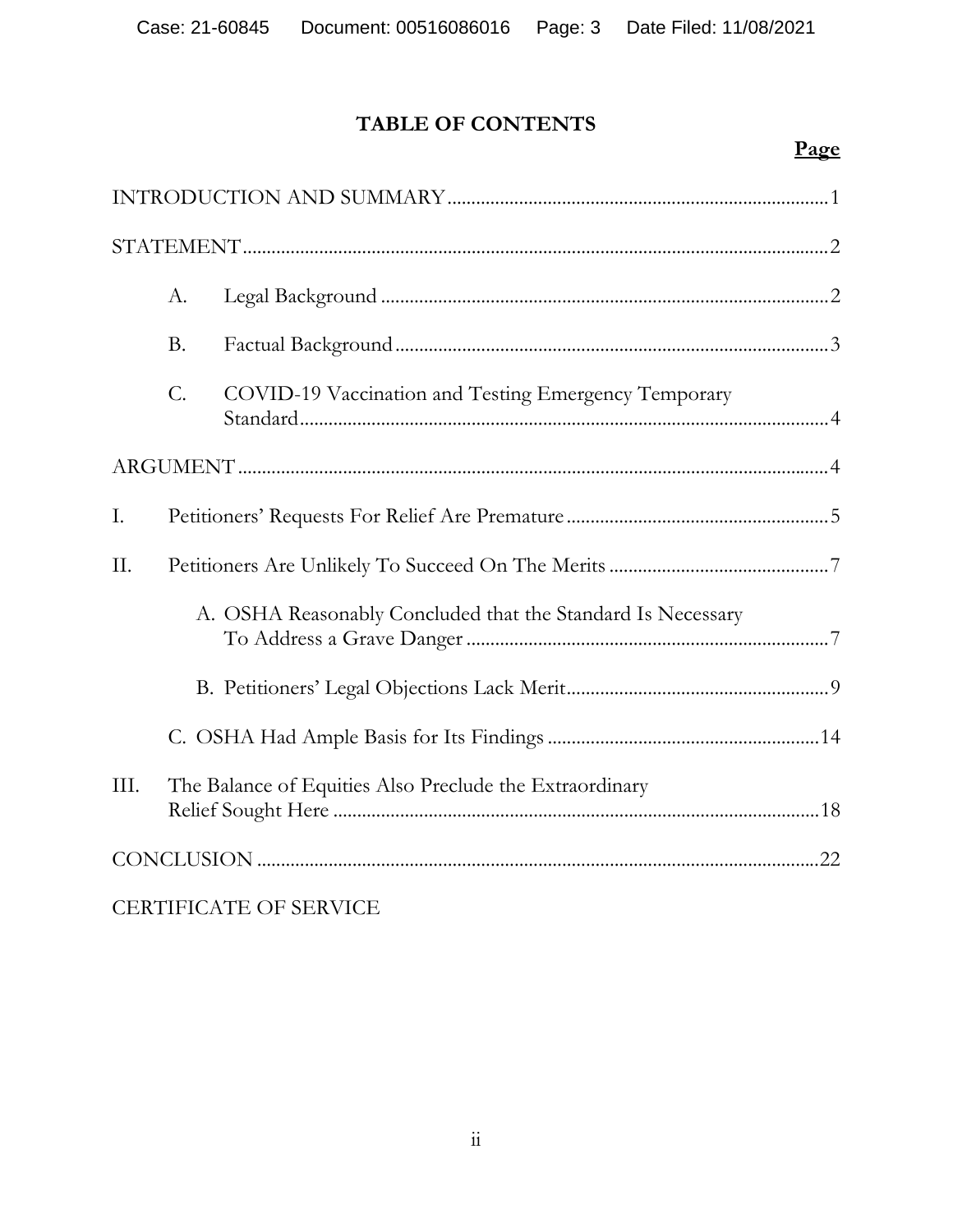# **TABLE OF CONTENTS**

# **Page**

|                        | $A$ .     |                                                             |
|------------------------|-----------|-------------------------------------------------------------|
|                        | <b>B.</b> |                                                             |
|                        | C.        | COVID-19 Vaccination and Testing Emergency Temporary        |
|                        |           |                                                             |
| I.                     |           |                                                             |
| II.                    |           |                                                             |
|                        |           | A. OSHA Reasonably Concluded that the Standard Is Necessary |
|                        |           |                                                             |
|                        |           |                                                             |
| III.                   |           | The Balance of Equities Also Preclude the Extraordinary     |
|                        |           |                                                             |
| CERTIFICATE OF SERVICE |           |                                                             |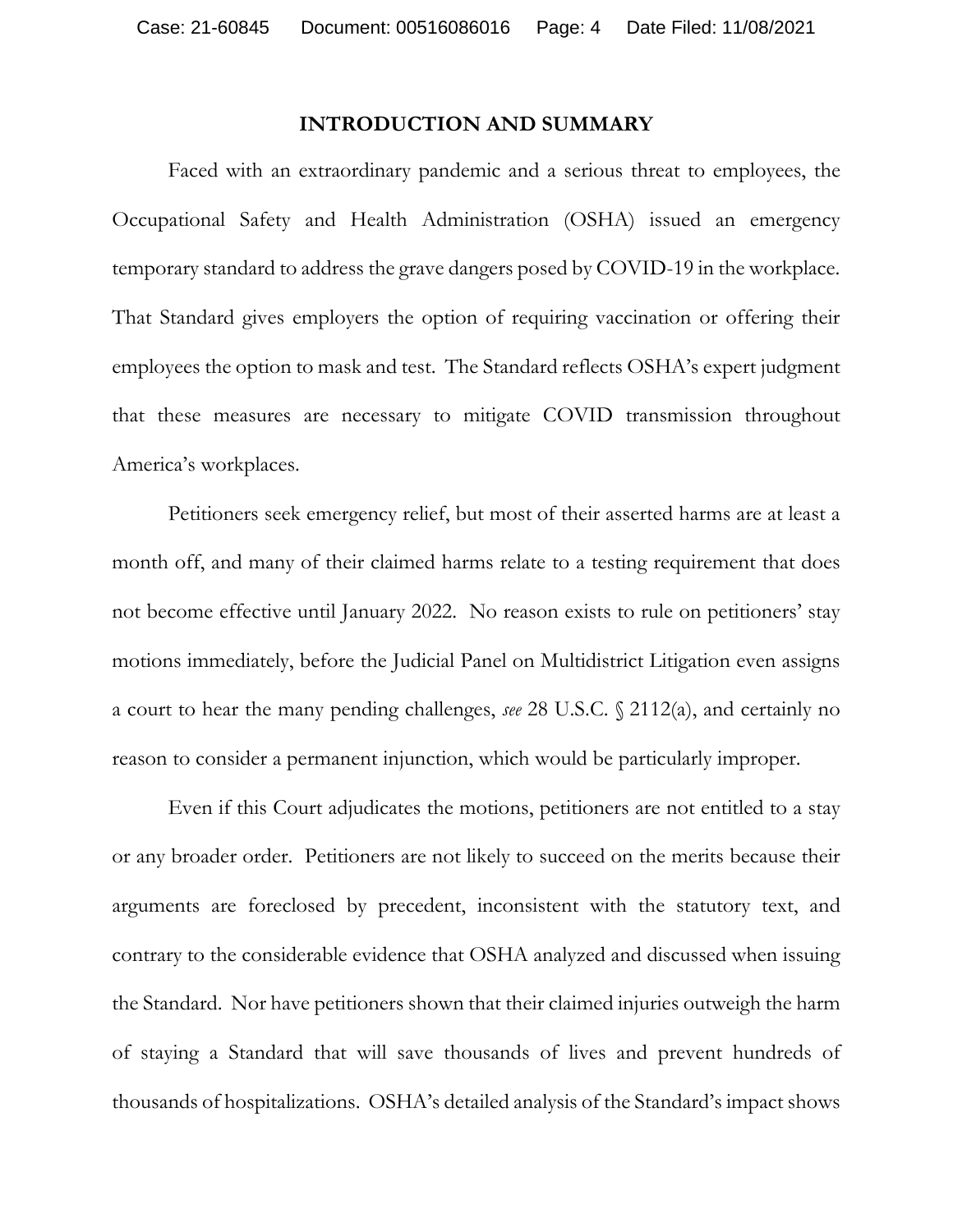#### **INTRODUCTION AND SUMMARY**

 Faced with an extraordinary pandemic and a serious threat to employees, the Occupational Safety and Health Administration (OSHA) issued an emergency temporary standard to address the grave dangers posed by COVID-19 in the workplace. That Standard gives employers the option of requiring vaccination or offering their employees the option to mask and test. The Standard reflects OSHA's expert judgment that these measures are necessary to mitigate COVID transmission throughout America's workplaces.

 Petitioners seek emergency relief, but most of their asserted harms are at least a month off, and many of their claimed harms relate to a testing requirement that does not become effective until January 2022. No reason exists to rule on petitioners' stay motions immediately, before the Judicial Panel on Multidistrict Litigation even assigns a court to hear the many pending challenges, *see* 28 U.S.C. § 2112(a), and certainly no reason to consider a permanent injunction, which would be particularly improper.

 Even if this Court adjudicates the motions, petitioners are not entitled to a stay or any broader order. Petitioners are not likely to succeed on the merits because their arguments are foreclosed by precedent, inconsistent with the statutory text, and contrary to the considerable evidence that OSHA analyzed and discussed when issuing the Standard. Nor have petitioners shown that their claimed injuries outweigh the harm of staying a Standard that will save thousands of lives and prevent hundreds of thousands of hospitalizations. OSHA's detailed analysis of the Standard's impact shows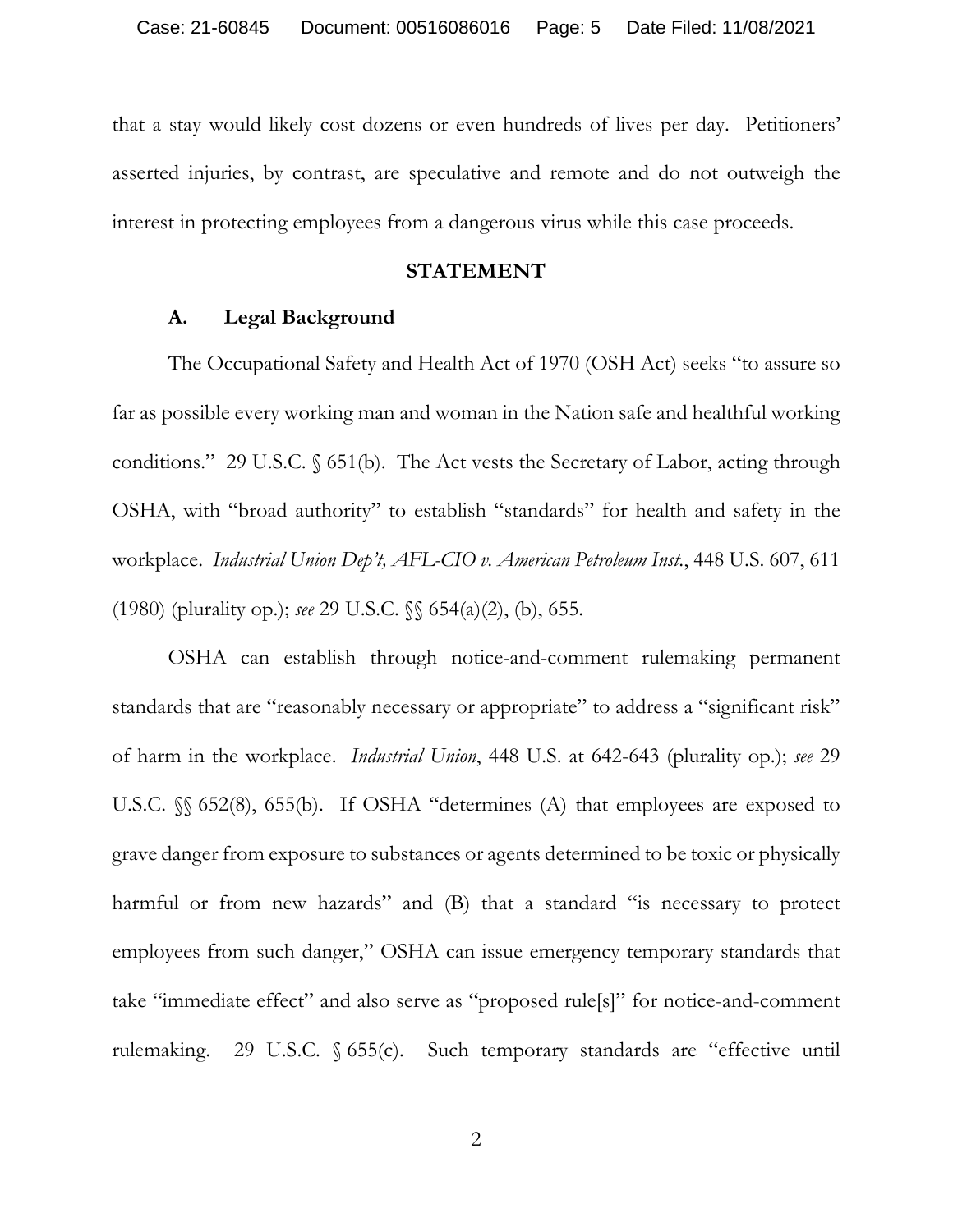that a stay would likely cost dozens or even hundreds of lives per day. Petitioners' asserted injuries, by contrast, are speculative and remote and do not outweigh the interest in protecting employees from a dangerous virus while this case proceeds.

#### **STATEMENT**

## **A. Legal Background**

The Occupational Safety and Health Act of 1970 (OSH Act) seeks "to assure so far as possible every working man and woman in the Nation safe and healthful working conditions." 29 U.S.C. § 651(b). The Act vests the Secretary of Labor, acting through OSHA, with "broad authority" to establish "standards" for health and safety in the workplace. *Industrial Union Dep't, AFL-CIO v. American Petroleum Inst.*, 448 U.S. 607, 611 (1980) (plurality op.); *see* 29 U.S.C. §§ 654(a)(2), (b), 655.

OSHA can establish through notice-and-comment rulemaking permanent standards that are "reasonably necessary or appropriate" to address a "significant risk" of harm in the workplace. *Industrial Union*, 448 U.S. at 642-643 (plurality op.); *see* 29 U.S.C. §§ 652(8), 655(b). If OSHA "determines (A) that employees are exposed to grave danger from exposure to substances or agents determined to be toxic or physically harmful or from new hazards" and (B) that a standard "is necessary to protect employees from such danger," OSHA can issue emergency temporary standards that take "immediate effect" and also serve as "proposed rule[s]" for notice-and-comment rulemaking. 29 U.S.C. § 655(c). Such temporary standards are "effective until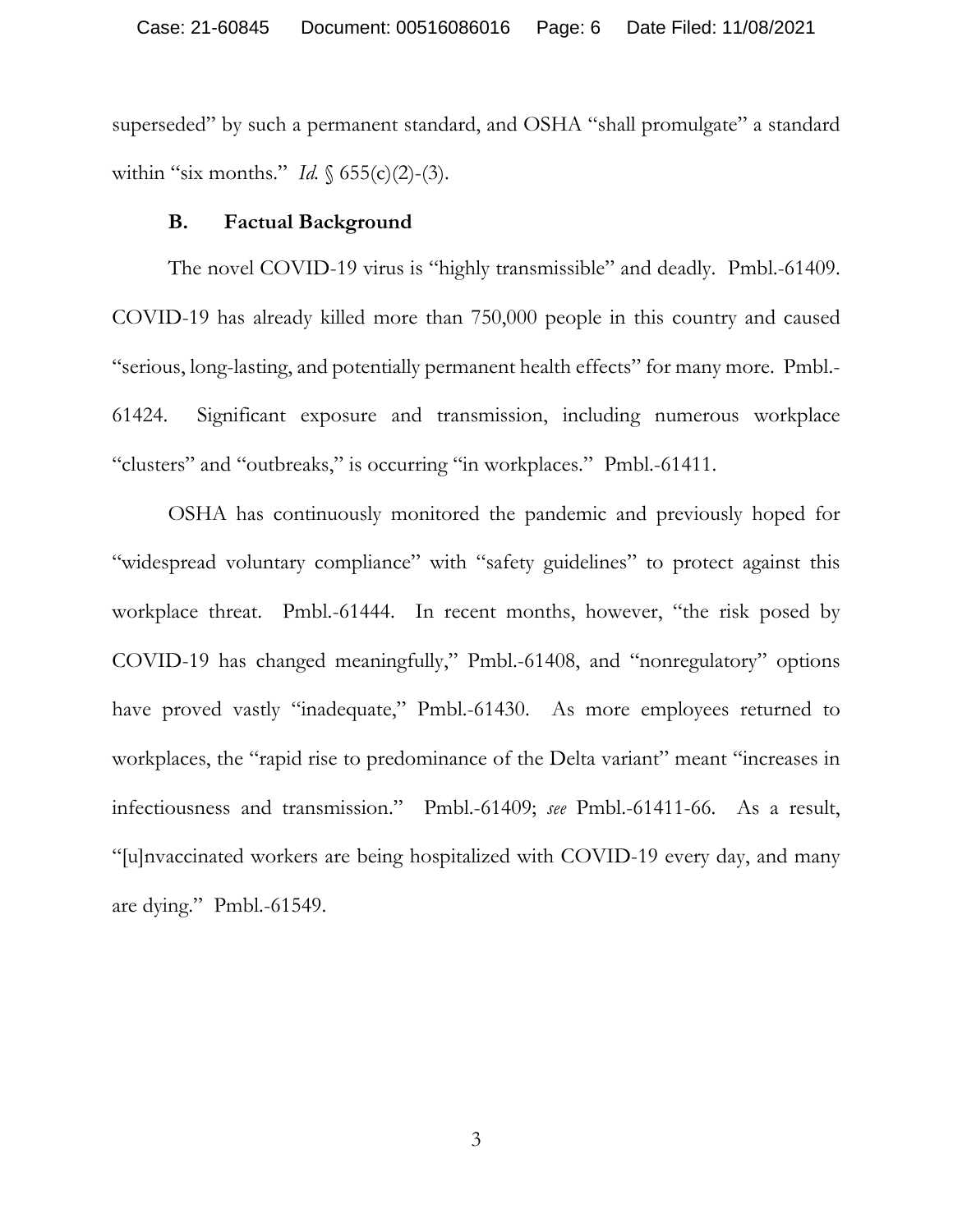superseded" by such a permanent standard, and OSHA "shall promulgate" a standard within "six months." *Id.* § 655(c)(2)-(3).

#### **B. Factual Background**

The novel COVID-19 virus is "highly transmissible" and deadly. Pmbl.-61409. COVID-19 has already killed more than 750,000 people in this country and caused "serious, long-lasting, and potentially permanent health effects" for many more. Pmbl.- 61424. Significant exposure and transmission, including numerous workplace "clusters" and "outbreaks," is occurring "in workplaces." Pmbl.-61411.

OSHA has continuously monitored the pandemic and previously hoped for "widespread voluntary compliance" with "safety guidelines" to protect against this workplace threat. Pmbl.-61444. In recent months, however, "the risk posed by COVID-19 has changed meaningfully," Pmbl.-61408, and "nonregulatory" options have proved vastly "inadequate," Pmbl.-61430. As more employees returned to workplaces, the "rapid rise to predominance of the Delta variant" meant "increases in infectiousness and transmission." Pmbl.-61409; *see* Pmbl.-61411-66. As a result, "[u]nvaccinated workers are being hospitalized with COVID-19 every day, and many are dying." Pmbl.-61549.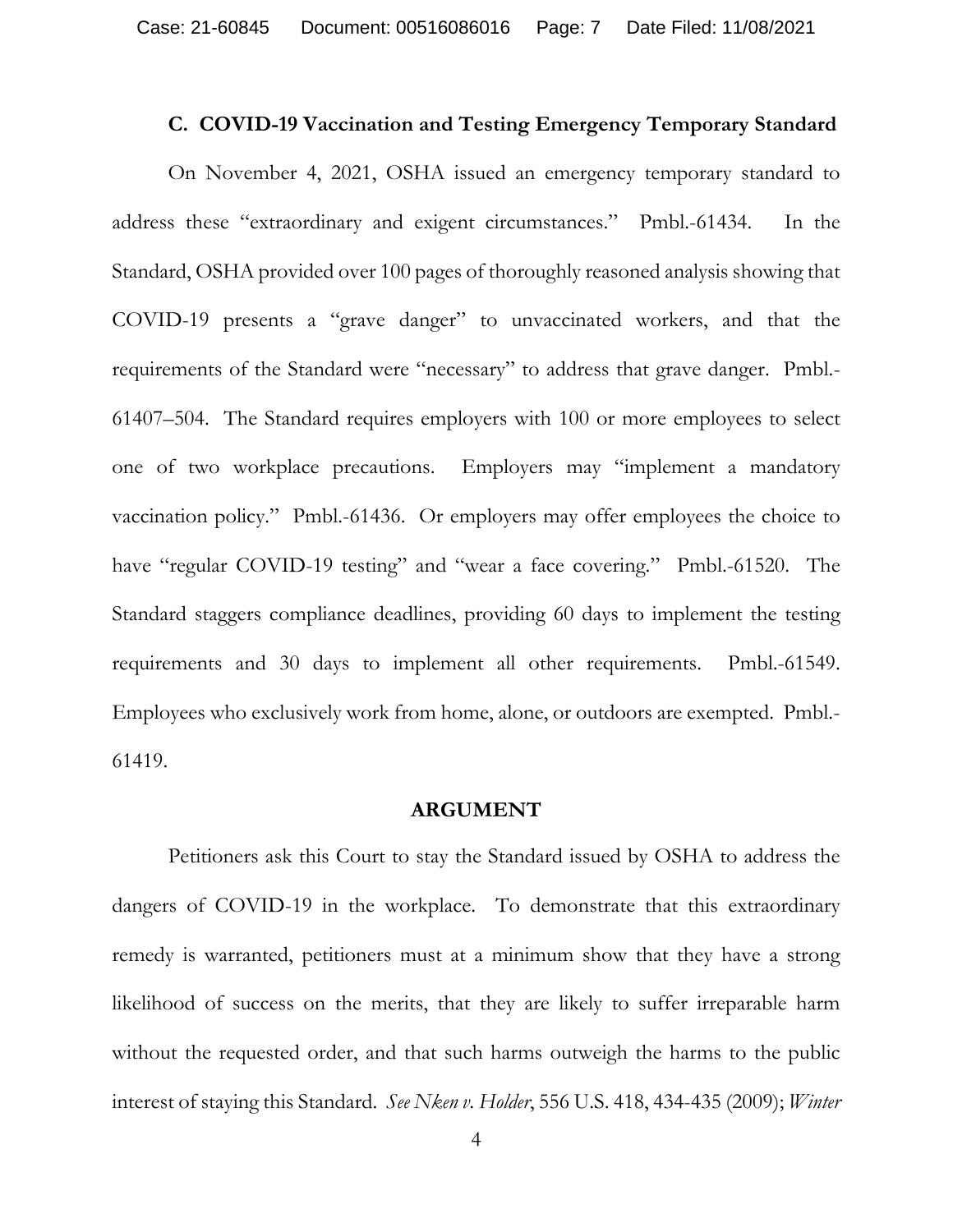#### **C. COVID-19 Vaccination and Testing Emergency Temporary Standard**

On November 4, 2021, OSHA issued an emergency temporary standard to address these "extraordinary and exigent circumstances." Pmbl.-61434. In the Standard, OSHA provided over 100 pages of thoroughly reasoned analysis showing that COVID-19 presents a "grave danger" to unvaccinated workers, and that the requirements of the Standard were "necessary" to address that grave danger. Pmbl.- 61407–504. The Standard requires employers with 100 or more employees to select one of two workplace precautions. Employers may "implement a mandatory vaccination policy." Pmbl.-61436. Or employers may offer employees the choice to have "regular COVID-19 testing" and "wear a face covering." Pmbl.-61520. The Standard staggers compliance deadlines, providing 60 days to implement the testing requirements and 30 days to implement all other requirements. Pmbl.-61549. Employees who exclusively work from home, alone, or outdoors are exempted. Pmbl.- 61419.

#### **ARGUMENT**

Petitioners ask this Court to stay the Standard issued by OSHA to address the dangers of COVID-19 in the workplace. To demonstrate that this extraordinary remedy is warranted, petitioners must at a minimum show that they have a strong likelihood of success on the merits, that they are likely to suffer irreparable harm without the requested order, and that such harms outweigh the harms to the public interest of staying this Standard. *See Nken v. Holder*, 556 U.S. 418, 434-435 (2009); *Winter*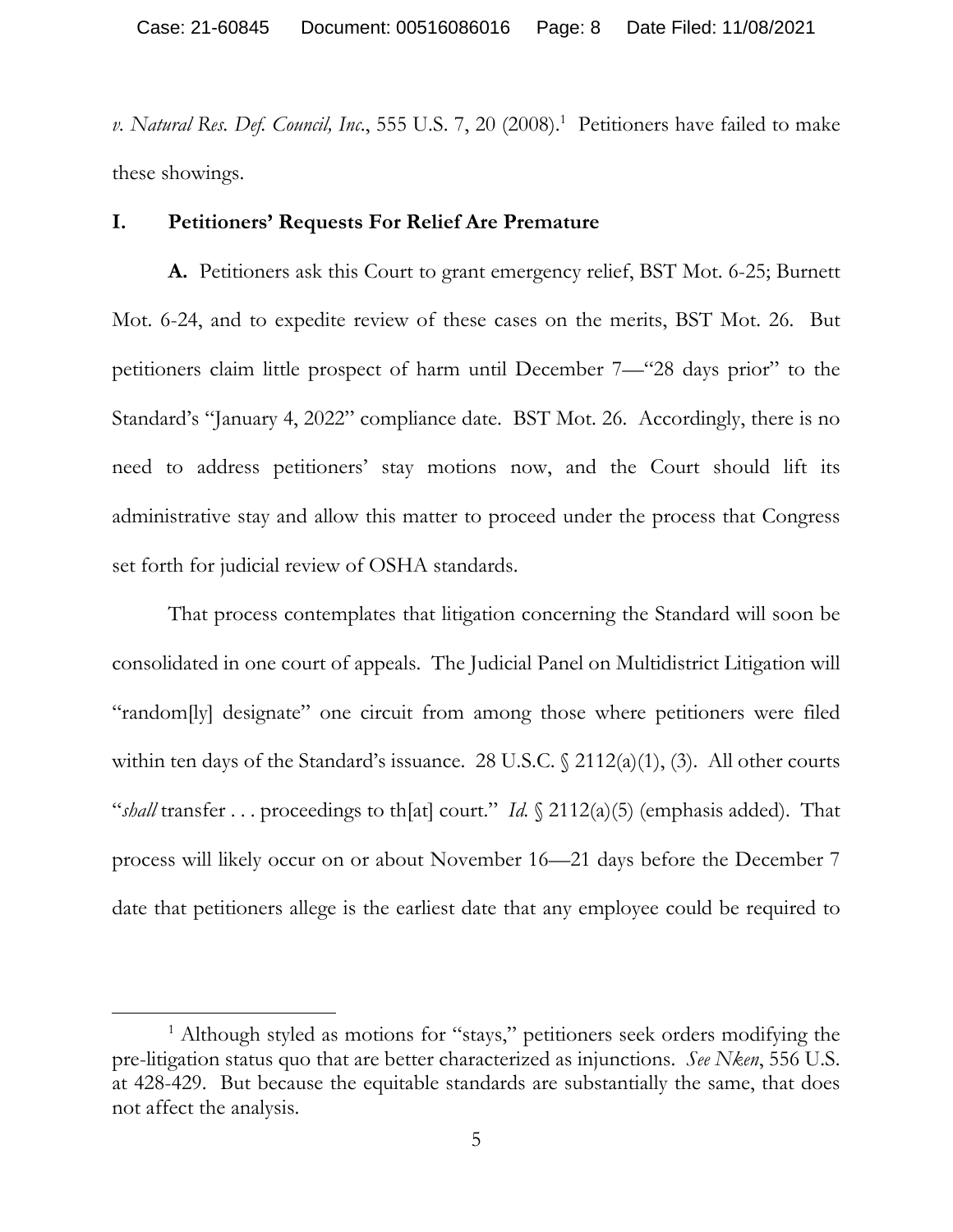v. Natural Res. Def. Council, Inc., 555 U.S. 7, 20 (2008).<sup>1</sup> Petitioners have failed to make these showings.

#### **I. Petitioners' Requests For Relief Are Premature**

 **A.** Petitioners ask this Court to grant emergency relief, BST Mot. 6-25; Burnett Mot. 6-24, and to expedite review of these cases on the merits, BST Mot. 26. But petitioners claim little prospect of harm until December 7—"28 days prior" to the Standard's "January 4, 2022" compliance date. BST Mot. 26. Accordingly, there is no need to address petitioners' stay motions now, and the Court should lift its administrative stay and allow this matter to proceed under the process that Congress set forth for judicial review of OSHA standards.

 That process contemplates that litigation concerning the Standard will soon be consolidated in one court of appeals. The Judicial Panel on Multidistrict Litigation will "random[ly] designate" one circuit from among those where petitioners were filed within ten days of the Standard's issuance. 28 U.S.C.  $\frac{2112(a)(1)}{3}$ . All other courts "*shall* transfer . . . proceedings to th[at] court." *Id.* § 2112(a)(5) (emphasis added). That process will likely occur on or about November 16—21 days before the December 7 date that petitioners allege is the earliest date that any employee could be required to

 $\overline{a}$ 

<sup>&</sup>lt;sup>1</sup> Although styled as motions for "stays," petitioners seek orders modifying the pre-litigation status quo that are better characterized as injunctions. *See Nken*, 556 U.S. at 428-429. But because the equitable standards are substantially the same, that does not affect the analysis.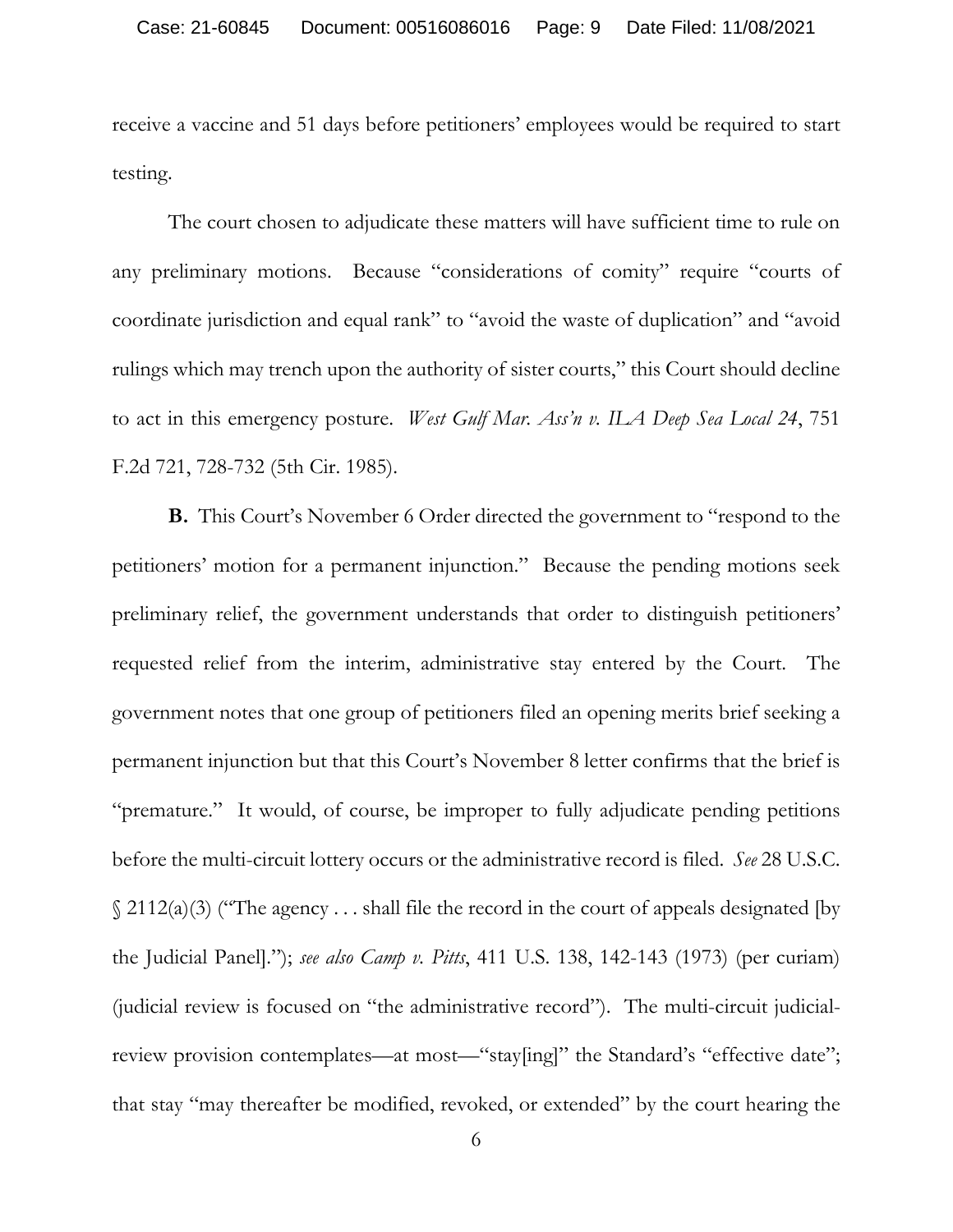receive a vaccine and 51 days before petitioners' employees would be required to start testing.

 The court chosen to adjudicate these matters will have sufficient time to rule on any preliminary motions. Because "considerations of comity" require "courts of coordinate jurisdiction and equal rank" to "avoid the waste of duplication" and "avoid rulings which may trench upon the authority of sister courts," this Court should decline to act in this emergency posture. *West Gulf Mar. Ass'n v. ILA Deep Sea Local 24*, 751 F.2d 721, 728-732 (5th Cir. 1985).

**B.** This Court's November 6 Order directed the government to "respond to the petitioners' motion for a permanent injunction." Because the pending motions seek preliminary relief, the government understands that order to distinguish petitioners' requested relief from the interim, administrative stay entered by the Court. The government notes that one group of petitioners filed an opening merits brief seeking a permanent injunction but that this Court's November 8 letter confirms that the brief is "premature." It would, of course, be improper to fully adjudicate pending petitions before the multi-circuit lottery occurs or the administrative record is filed. *See* 28 U.S.C.  $\S$  2112(a)(3) ("The agency ... shall file the record in the court of appeals designated [by the Judicial Panel]."); *see also Camp v. Pitts*, 411 U.S. 138, 142-143 (1973) (per curiam) (judicial review is focused on "the administrative record"). The multi-circuit judicialreview provision contemplates—at most—"stay[ing]" the Standard's "effective date"; that stay "may thereafter be modified, revoked, or extended" by the court hearing the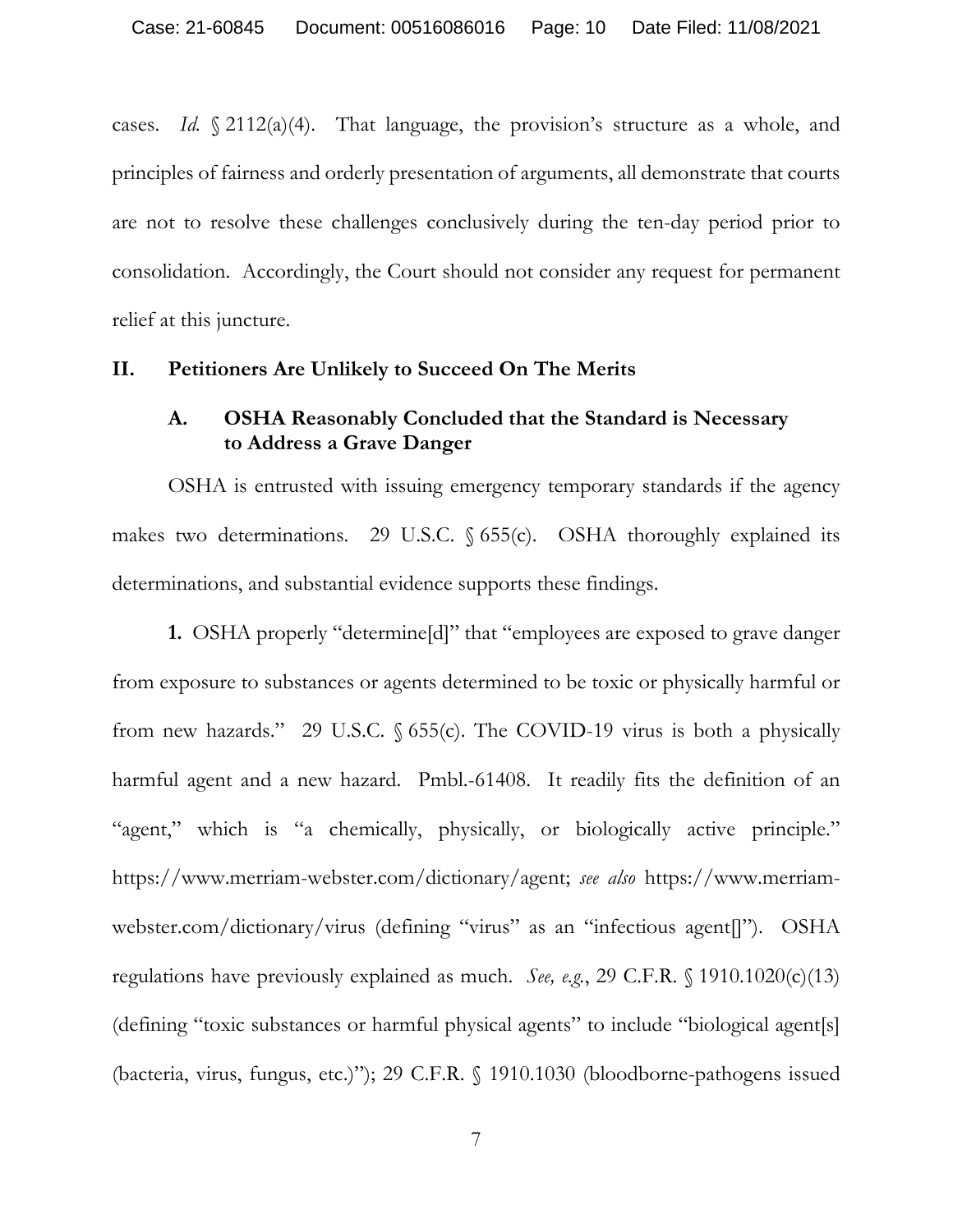cases. *Id.* § 2112(a)(4). That language, the provision's structure as a whole, and principles of fairness and orderly presentation of arguments, all demonstrate that courts are not to resolve these challenges conclusively during the ten-day period prior to consolidation. Accordingly, the Court should not consider any request for permanent relief at this juncture.

#### **II. Petitioners Are Unlikely to Succeed On The Merits**

## **A. OSHA Reasonably Concluded that the Standard is Necessary to Address a Grave Danger**

 OSHA is entrusted with issuing emergency temporary standards if the agency makes two determinations. 29 U.S.C.  $\S$  655(c). OSHA thoroughly explained its determinations, and substantial evidence supports these findings.

**1.** OSHA properly "determine[d]" that "employees are exposed to grave danger from exposure to substances or agents determined to be toxic or physically harmful or from new hazards." 29 U.S.C. § 655(c). The COVID-19 virus is both a physically harmful agent and a new hazard. Pmbl.-61408. It readily fits the definition of an "agent," which is "a chemically, physically, or biologically active principle." https://www.merriam-webster.com/dictionary/agent; *see also* https://www.merriamwebster.com/dictionary/virus (defining "virus" as an "infectious agent[]"). OSHA regulations have previously explained as much. *See, e.g.*, 29 C.F.R. § 1910.1020(c)(13) (defining "toxic substances or harmful physical agents" to include "biological agent[s] (bacteria, virus, fungus, etc.)"); 29 C.F.R. § 1910.1030 (bloodborne-pathogens issued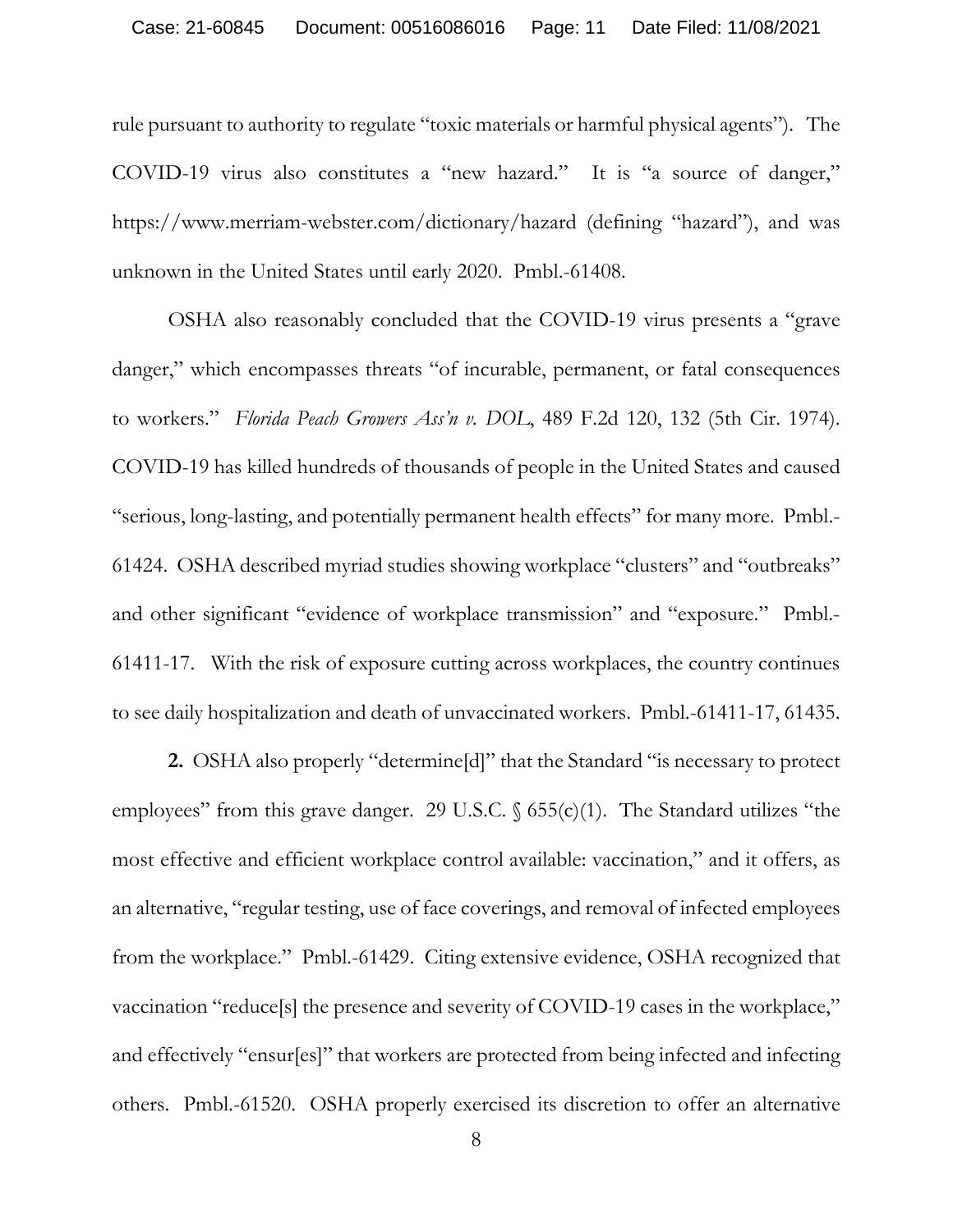rule pursuant to authority to regulate "toxic materials or harmful physical agents"). The COVID-19 virus also constitutes a "new hazard." It is "a source of danger," https://www.merriam-webster.com/dictionary/hazard (defining "hazard"), and was unknown in the United States until early 2020. Pmbl.-61408.

 OSHA also reasonably concluded that the COVID-19 virus presents a "grave danger," which encompasses threats "of incurable, permanent, or fatal consequences to workers." *Florida Peach Growers Ass'n v. DOL*, 489 F.2d 120, 132 (5th Cir. 1974). COVID-19 has killed hundreds of thousands of people in the United States and caused "serious, long-lasting, and potentially permanent health effects" for many more. Pmbl.- 61424. OSHA described myriad studies showing workplace "clusters" and "outbreaks" and other significant "evidence of workplace transmission" and "exposure." Pmbl.- 61411-17. With the risk of exposure cutting across workplaces, the country continues to see daily hospitalization and death of unvaccinated workers. Pmbl.-61411-17, 61435.

**2.** OSHA also properly "determine[d]" that the Standard "is necessary to protect employees" from this grave danger. 29 U.S.C.  $\S$  655(c)(1). The Standard utilizes "the most effective and efficient workplace control available: vaccination," and it offers, as an alternative, "regular testing, use of face coverings, and removal of infected employees from the workplace." Pmbl.-61429. Citing extensive evidence, OSHA recognized that vaccination "reduce[s] the presence and severity of COVID-19 cases in the workplace," and effectively "ensur[es]" that workers are protected from being infected and infecting others. Pmbl.-61520.OSHA properly exercised its discretion to offer an alternative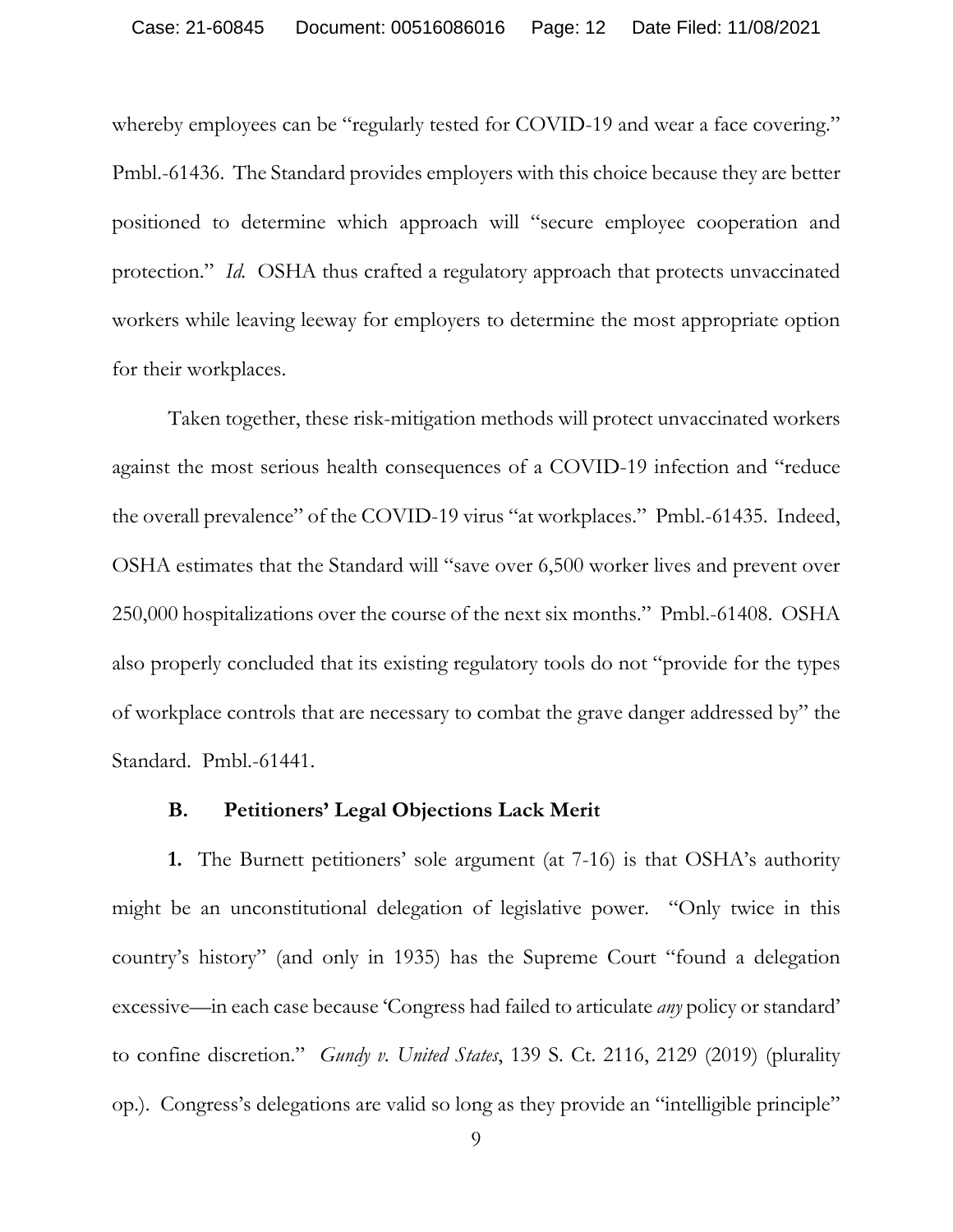whereby employees can be "regularly tested for COVID-19 and wear a face covering." Pmbl.-61436. The Standard provides employers with this choice because they are better positioned to determine which approach will "secure employee cooperation and protection." *Id.* OSHA thus crafted a regulatory approach that protects unvaccinated workers while leaving leeway for employers to determine the most appropriate option for their workplaces.

 Taken together, these risk-mitigation methods will protect unvaccinated workers against the most serious health consequences of a COVID-19 infection and "reduce the overall prevalence" of the COVID-19 virus "at workplaces." Pmbl.-61435. Indeed, OSHA estimates that the Standard will "save over 6,500 worker lives and prevent over 250,000 hospitalizations over the course of the next six months." Pmbl.-61408. OSHA also properly concluded that its existing regulatory tools do not "provide for the types of workplace controls that are necessary to combat the grave danger addressed by" the Standard. Pmbl.-61441.

#### **B. Petitioners' Legal Objections Lack Merit**

 **1.** The Burnett petitioners' sole argument (at 7-16) is that OSHA's authority might be an unconstitutional delegation of legislative power. "Only twice in this country's history" (and only in 1935) has the Supreme Court "found a delegation excessive—in each case because 'Congress had failed to articulate *any* policy or standard' to confine discretion." *Gundy v. United States*, 139 S. Ct. 2116, 2129 (2019) (plurality op.). Congress's delegations are valid so long as they provide an "intelligible principle"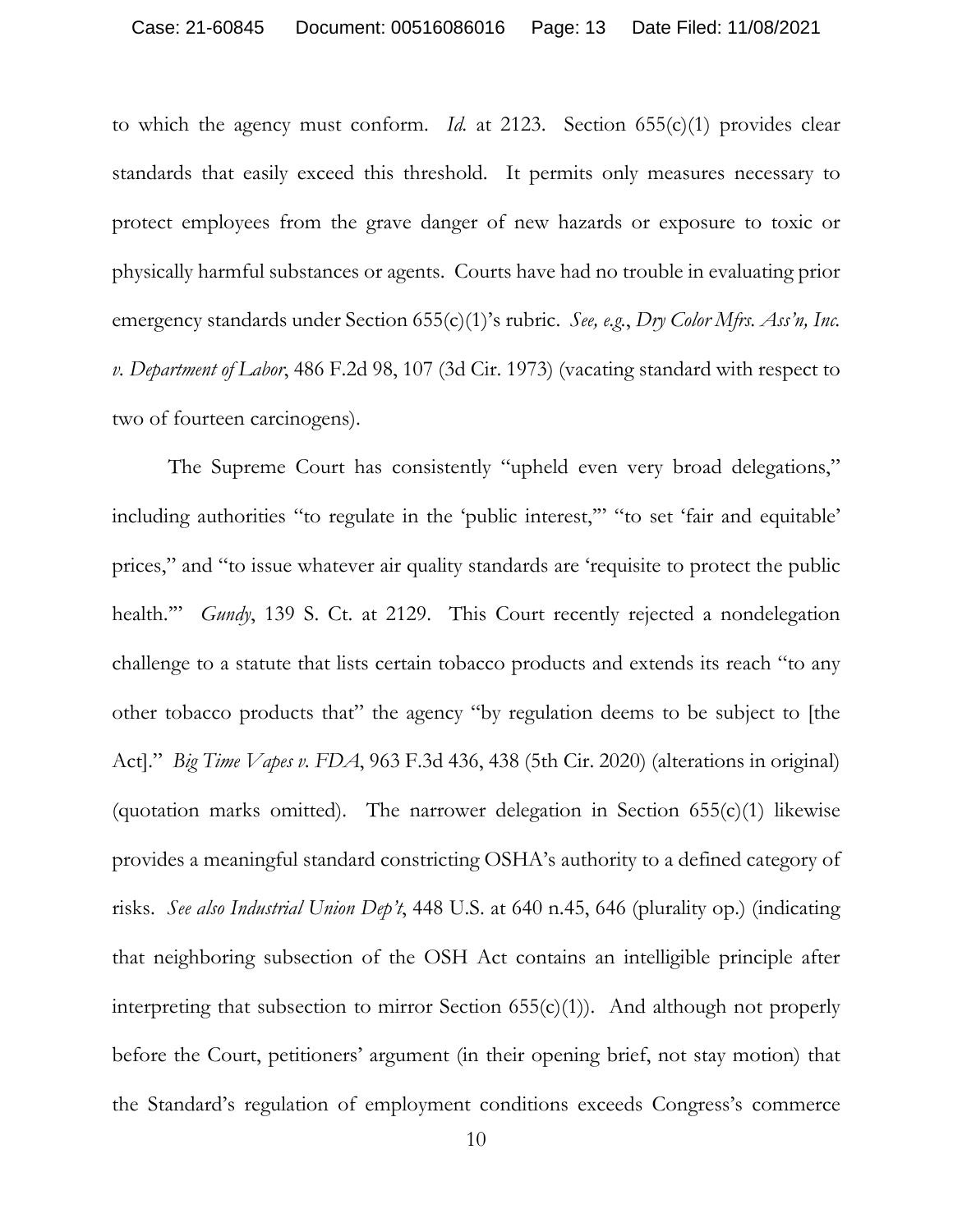to which the agency must conform. *Id.* at 2123. Section 655(c)(1) provides clear standards that easily exceed this threshold. It permits only measures necessary to protect employees from the grave danger of new hazards or exposure to toxic or physically harmful substances or agents. Courts have had no trouble in evaluating prior emergency standards under Section 655(c)(1)'s rubric. *See, e.g.*, *Dry Color Mfrs. Ass'n, Inc. v. Department of Labor*, 486 F.2d 98, 107 (3d Cir. 1973) (vacating standard with respect to two of fourteen carcinogens).

The Supreme Court has consistently "upheld even very broad delegations," including authorities "to regulate in the 'public interest,'" "to set 'fair and equitable' prices," and "to issue whatever air quality standards are 'requisite to protect the public health." *Gundy*, 139 S. Ct. at 2129. This Court recently rejected a nondelegation challenge to a statute that lists certain tobacco products and extends its reach "to any other tobacco products that" the agency "by regulation deems to be subject to [the Act]." *Big Time Vapes v. FDA*, 963 F.3d 436, 438 (5th Cir. 2020) (alterations in original) (quotation marks omitted). The narrower delegation in Section  $655(c)(1)$  likewise provides a meaningful standard constricting OSHA's authority to a defined category of risks. *See also Industrial Union Dep't*, 448 U.S. at 640 n.45, 646 (plurality op.) (indicating that neighboring subsection of the OSH Act contains an intelligible principle after interpreting that subsection to mirror Section  $(55(c)(1))$ . And although not properly before the Court, petitioners' argument (in their opening brief, not stay motion) that the Standard's regulation of employment conditions exceeds Congress's commerce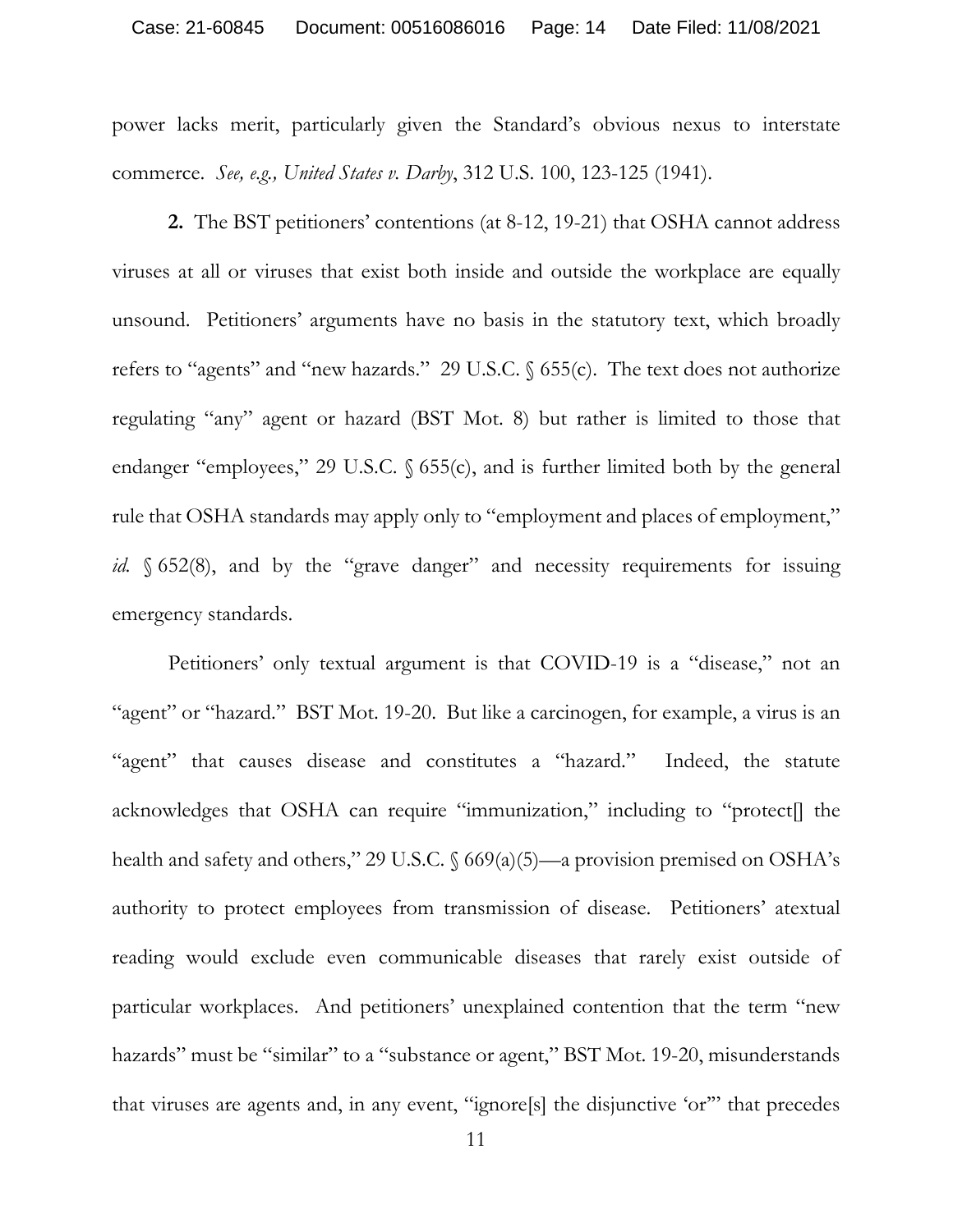#### Case: 21-60845 Document: 00516086016 Page: 14 Date Filed: 11/08/2021

power lacks merit, particularly given the Standard's obvious nexus to interstate commerce. *See, e.g., United States v. Darby*, 312 U.S. 100, 123-125 (1941).

**2.** The BST petitioners' contentions (at 8-12, 19-21) that OSHA cannot address viruses at all or viruses that exist both inside and outside the workplace are equally unsound. Petitioners' arguments have no basis in the statutory text, which broadly refers to "agents" and "new hazards." 29 U.S.C. § 655(c). The text does not authorize regulating "any" agent or hazard (BST Mot. 8) but rather is limited to those that endanger "employees," 29 U.S.C. § 655(c), and is further limited both by the general rule that OSHA standards may apply only to "employment and places of employment," *id.* § 652(8), and by the "grave danger" and necessity requirements for issuing emergency standards.

Petitioners' only textual argument is that COVID-19 is a "disease," not an "agent" or "hazard." BST Mot. 19-20. But like a carcinogen, for example, a virus is an "agent" that causes disease and constitutes a "hazard." Indeed, the statute acknowledges that OSHA can require "immunization," including to "protect[] the health and safety and others," 29 U.S.C. § 669(a)(5)—a provision premised on OSHA's authority to protect employees from transmission of disease. Petitioners' atextual reading would exclude even communicable diseases that rarely exist outside of particular workplaces. And petitioners' unexplained contention that the term "new hazards" must be "similar" to a "substance or agent," BST Mot. 19-20, misunderstands that viruses are agents and, in any event, "ignore[s] the disjunctive 'or'" that precedes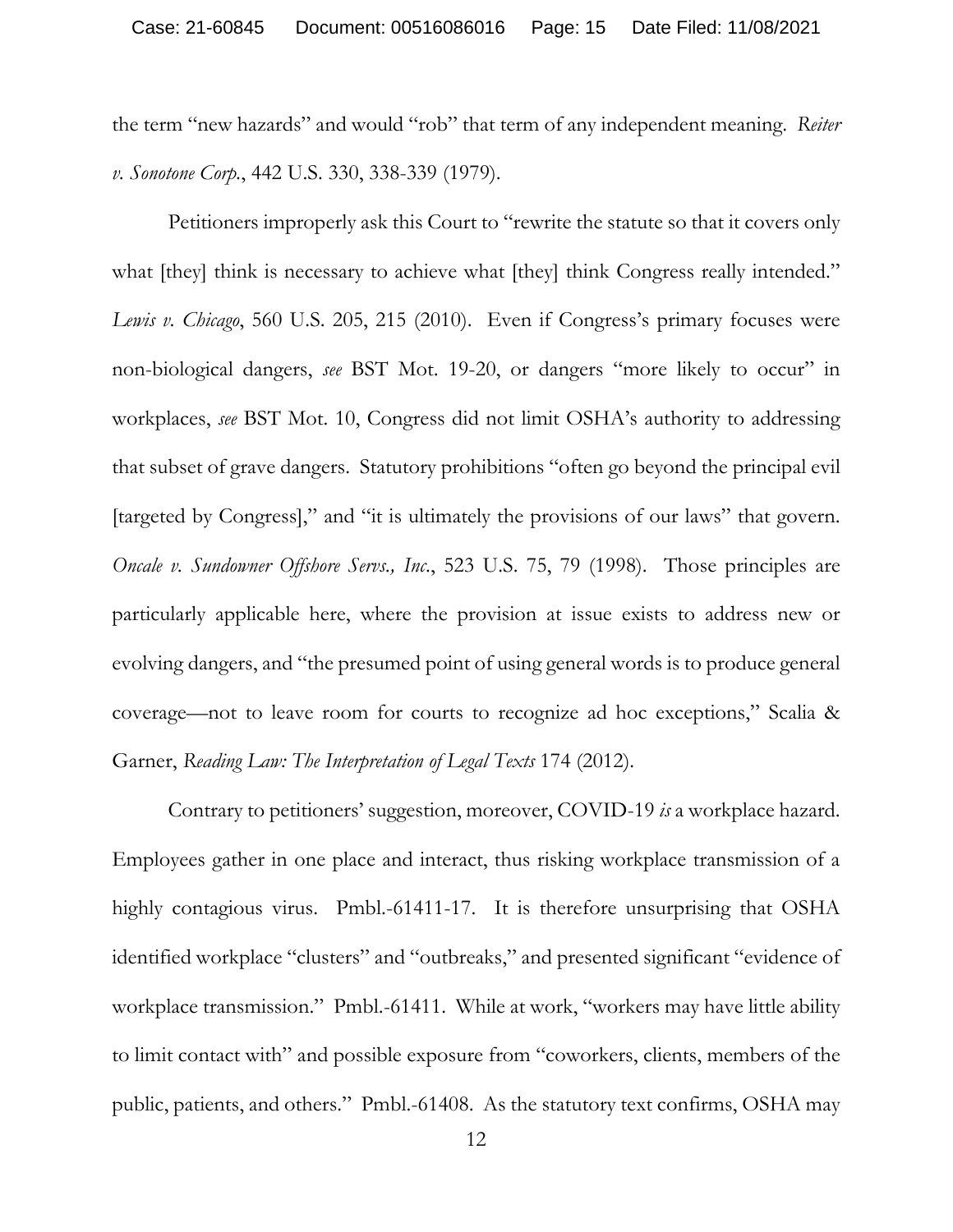the term "new hazards" and would "rob" that term of any independent meaning. *Reiter v. Sonotone Corp.*, 442 U.S. 330, 338-339 (1979).

Petitioners improperly ask this Court to "rewrite the statute so that it covers only what [they] think is necessary to achieve what [they] think Congress really intended." *Lewis v. Chicago*, 560 U.S. 205, 215 (2010). Even if Congress's primary focuses were non-biological dangers, *see* BST Mot. 19-20, or dangers "more likely to occur" in workplaces, *see* BST Mot. 10, Congress did not limit OSHA's authority to addressing that subset of grave dangers. Statutory prohibitions "often go beyond the principal evil [targeted by Congress]," and "it is ultimately the provisions of our laws" that govern. *Oncale v. Sundowner Offshore Servs., Inc*., 523 U.S. 75, 79 (1998). Those principles are particularly applicable here, where the provision at issue exists to address new or evolving dangers, and "the presumed point of using general words is to produce general coverage—not to leave room for courts to recognize ad hoc exceptions," Scalia & Garner, *Reading Law: The Interpretation of Legal Texts* 174 (2012).

Contrary to petitioners' suggestion, moreover, COVID-19 *is* a workplace hazard. Employees gather in one place and interact, thus risking workplace transmission of a highly contagious virus. Pmbl.-61411-17. It is therefore unsurprising that OSHA identified workplace "clusters" and "outbreaks," and presented significant "evidence of workplace transmission." Pmbl.-61411. While at work, "workers may have little ability to limit contact with" and possible exposure from "coworkers, clients, members of the public, patients, and others." Pmbl.-61408. As the statutory text confirms, OSHA may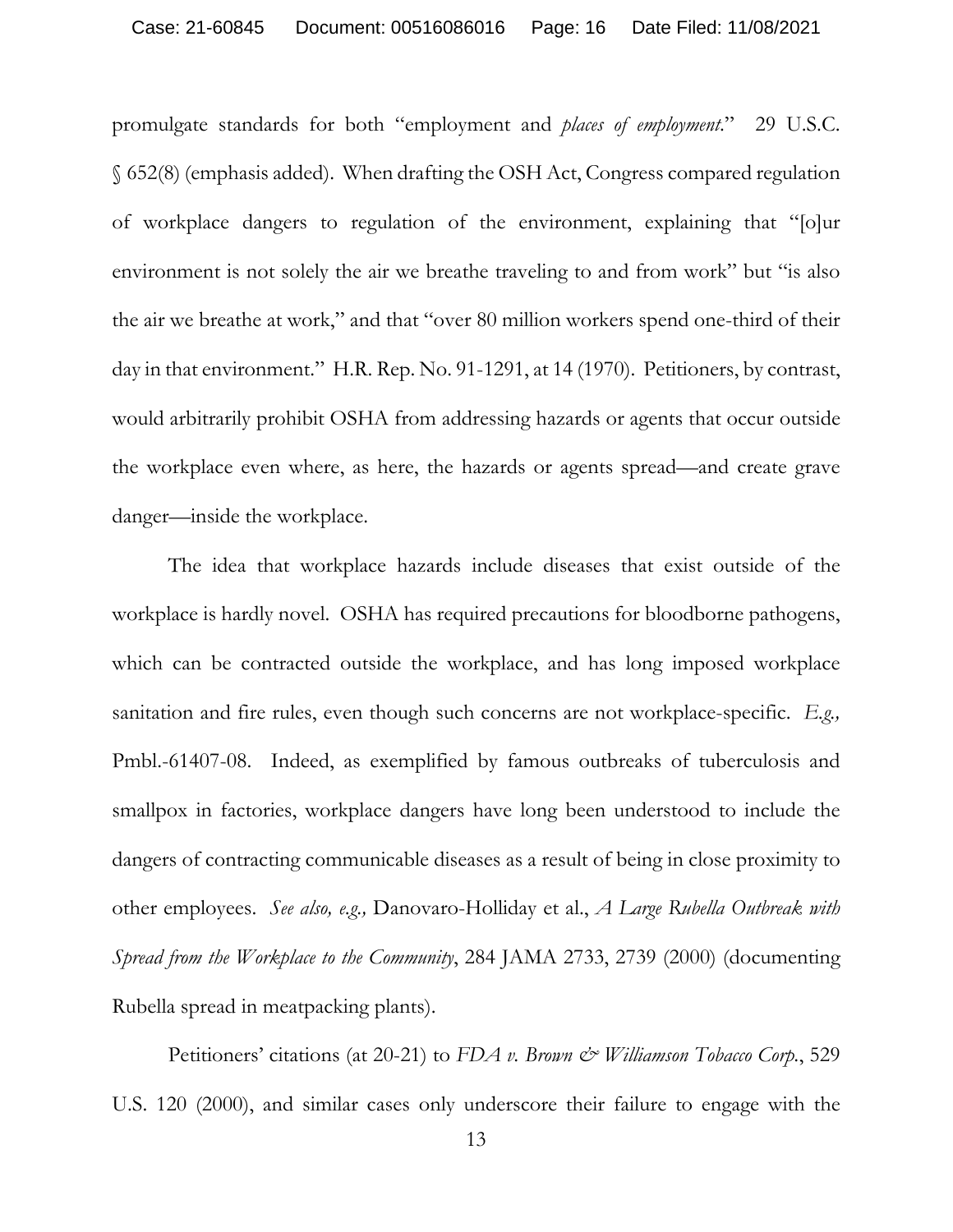promulgate standards for both "employment and *places of employment*." 29 U.S.C. § 652(8) (emphasis added). When drafting the OSH Act, Congress compared regulation of workplace dangers to regulation of the environment, explaining that "[o]ur environment is not solely the air we breathe traveling to and from work" but "is also the air we breathe at work," and that "over 80 million workers spend one-third of their day in that environment." H.R. Rep. No. 91-1291, at 14 (1970). Petitioners, by contrast, would arbitrarily prohibit OSHA from addressing hazards or agents that occur outside the workplace even where, as here, the hazards or agents spread—and create grave danger—inside the workplace.

The idea that workplace hazards include diseases that exist outside of the workplace is hardly novel. OSHA has required precautions for bloodborne pathogens, which can be contracted outside the workplace, and has long imposed workplace sanitation and fire rules, even though such concerns are not workplace-specific. *E.g.,*  Pmbl.-61407-08. Indeed, as exemplified by famous outbreaks of tuberculosis and smallpox in factories, workplace dangers have long been understood to include the dangers of contracting communicable diseases as a result of being in close proximity to other employees. *See also, e.g.,* Danovaro-Holliday et al., *A Large Rubella Outbreak with Spread from the Workplace to the Community*, 284 JAMA 2733, 2739 (2000) (documenting Rubella spread in meatpacking plants).

Petitioners' citations (at 20-21) to *FDA v. Brown & Williamson Tobacco Corp.*, 529 U.S. 120 (2000), and similar cases only underscore their failure to engage with the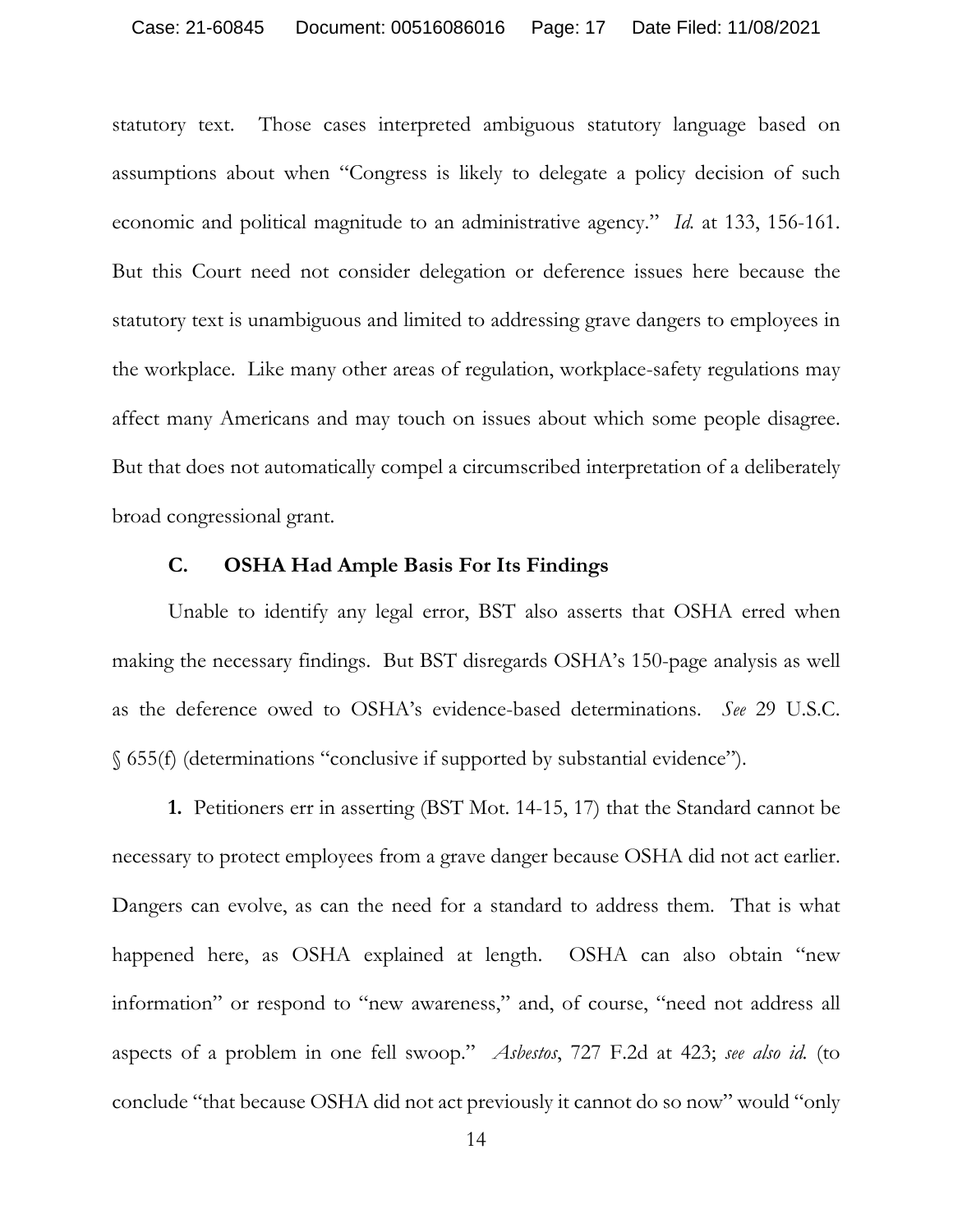statutory text. Those cases interpreted ambiguous statutory language based on assumptions about when "Congress is likely to delegate a policy decision of such economic and political magnitude to an administrative agency." *Id.* at 133, 156-161. But this Court need not consider delegation or deference issues here because the statutory text is unambiguous and limited to addressing grave dangers to employees in the workplace. Like many other areas of regulation, workplace-safety regulations may affect many Americans and may touch on issues about which some people disagree. But that does not automatically compel a circumscribed interpretation of a deliberately broad congressional grant.

#### **C. OSHA Had Ample Basis For Its Findings**

 Unable to identify any legal error, BST also asserts that OSHA erred when making the necessary findings. But BST disregards OSHA's 150-page analysis as well as the deference owed to OSHA's evidence-based determinations. *See* 29 U.S.C. § 655(f) (determinations "conclusive if supported by substantial evidence").

**1.** Petitioners err in asserting (BST Mot. 14-15, 17) that the Standard cannot be necessary to protect employees from a grave danger because OSHA did not act earlier. Dangers can evolve, as can the need for a standard to address them. That is what happened here, as OSHA explained at length. OSHA can also obtain "new information" or respond to "new awareness," and, of course, "need not address all aspects of a problem in one fell swoop." *Asbestos*, 727 F.2d at 423; *see also id.* (to conclude "that because OSHA did not act previously it cannot do so now" would "only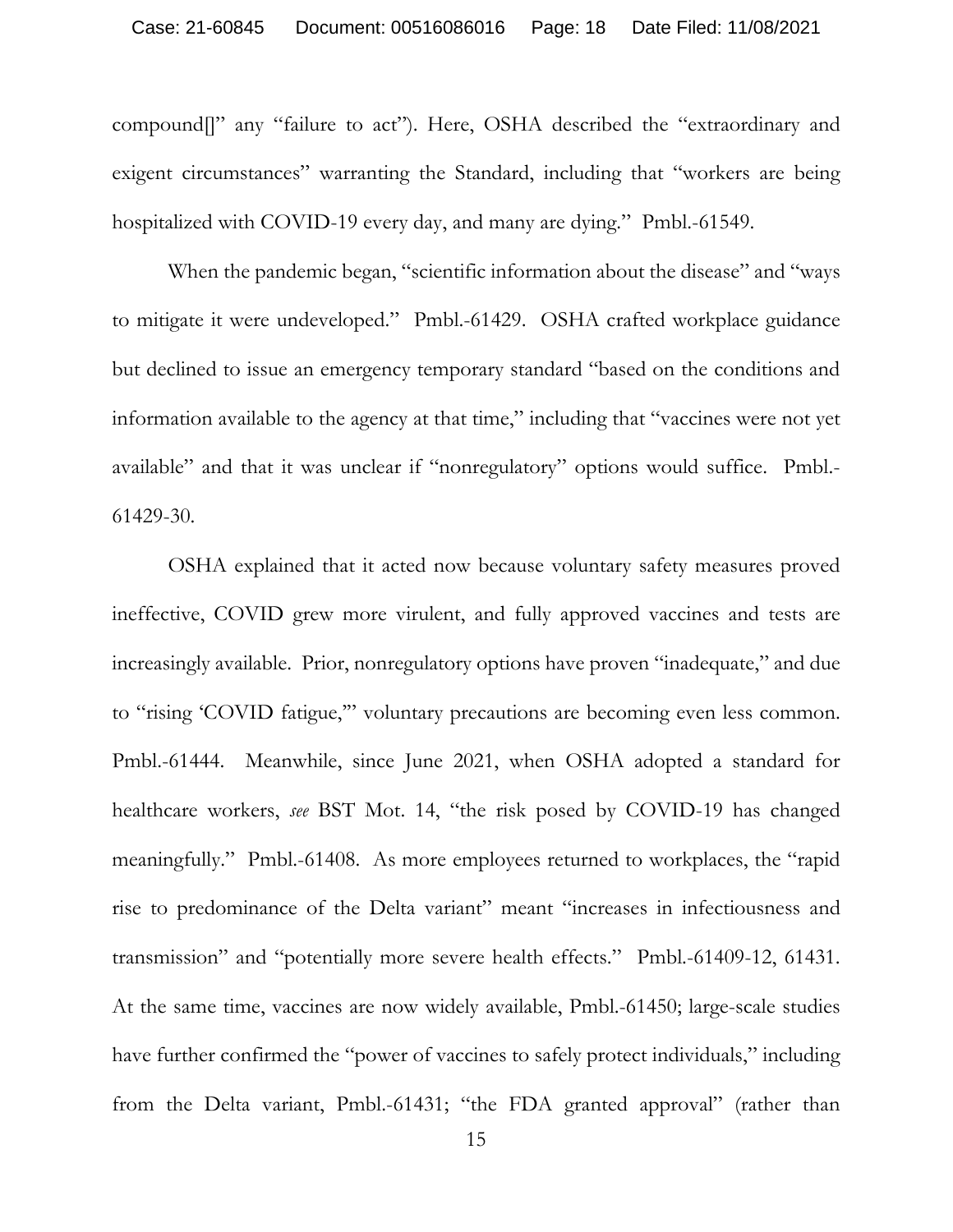compound[]" any "failure to act"). Here, OSHA described the "extraordinary and exigent circumstances" warranting the Standard, including that "workers are being hospitalized with COVID-19 every day, and many are dying." Pmbl.-61549.

When the pandemic began, "scientific information about the disease" and "ways" to mitigate it were undeveloped." Pmbl.-61429. OSHA crafted workplace guidance but declined to issue an emergency temporary standard "based on the conditions and information available to the agency at that time," including that "vaccines were not yet available" and that it was unclear if "nonregulatory" options would suffice. Pmbl.- 61429-30.

 OSHA explained that it acted now because voluntary safety measures proved ineffective, COVID grew more virulent, and fully approved vaccines and tests are increasingly available. Prior, nonregulatory options have proven "inadequate," and due to "rising 'COVID fatigue,'" voluntary precautions are becoming even less common. Pmbl.-61444. Meanwhile, since June 2021, when OSHA adopted a standard for healthcare workers, *see* BST Mot. 14, "the risk posed by COVID-19 has changed meaningfully." Pmbl.-61408. As more employees returned to workplaces, the "rapid rise to predominance of the Delta variant" meant "increases in infectiousness and transmission" and "potentially more severe health effects." Pmbl.-61409-12, 61431. At the same time, vaccines are now widely available, Pmbl.-61450; large-scale studies have further confirmed the "power of vaccines to safely protect individuals," including from the Delta variant, Pmbl.-61431; "the FDA granted approval" (rather than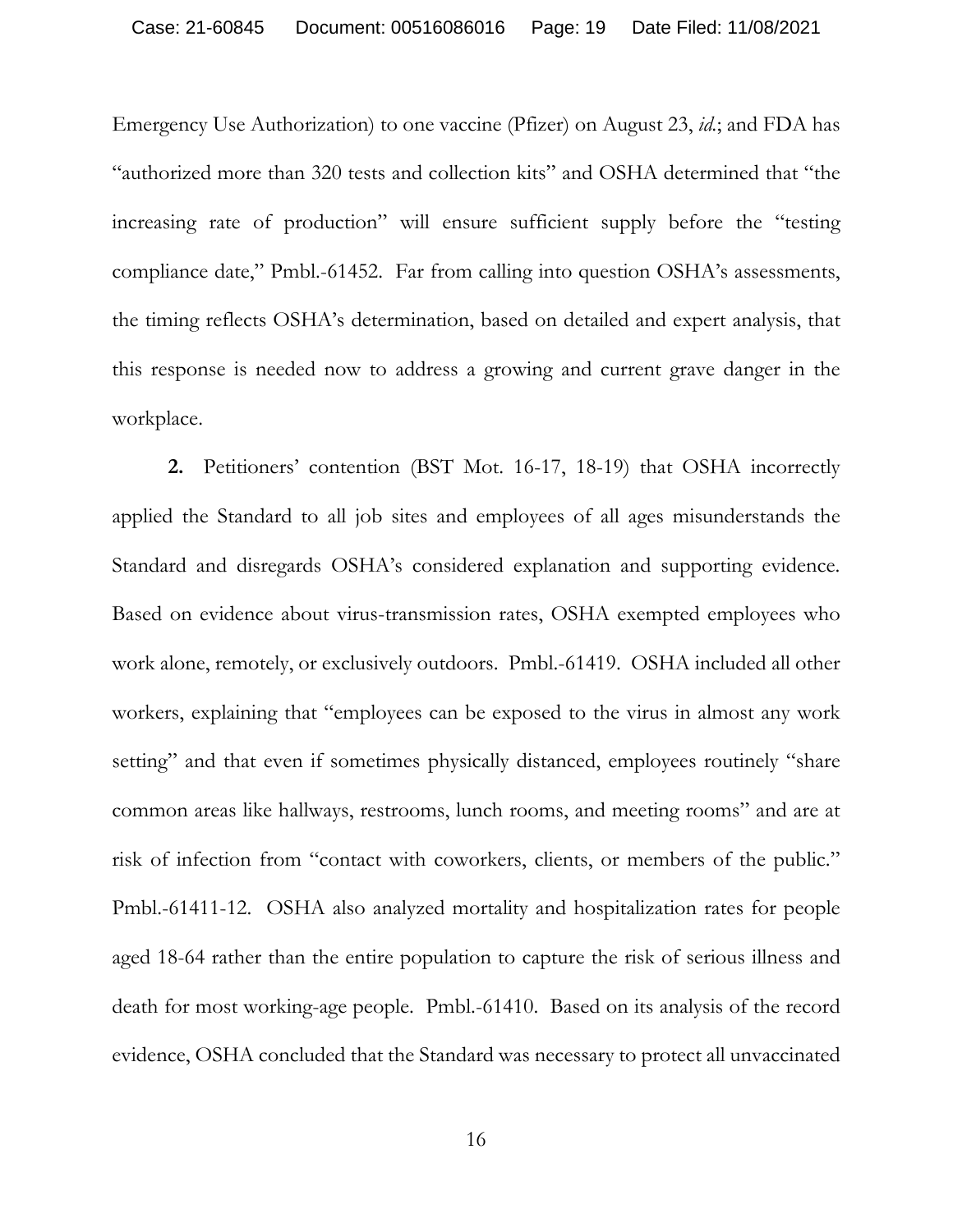Emergency Use Authorization) to one vaccine (Pfizer) on August 23, *id.*; and FDA has "authorized more than 320 tests and collection kits" and OSHA determined that "the increasing rate of production" will ensure sufficient supply before the "testing compliance date," Pmbl.-61452. Far from calling into question OSHA's assessments, the timing reflects OSHA's determination, based on detailed and expert analysis, that this response is needed now to address a growing and current grave danger in the workplace.

**2.** Petitioners' contention (BST Mot. 16-17, 18-19) that OSHA incorrectly applied the Standard to all job sites and employees of all ages misunderstands the Standard and disregards OSHA's considered explanation and supporting evidence. Based on evidence about virus-transmission rates, OSHA exempted employees who work alone, remotely, or exclusively outdoors. Pmbl.-61419. OSHA included all other workers, explaining that "employees can be exposed to the virus in almost any work setting" and that even if sometimes physically distanced, employees routinely "share common areas like hallways, restrooms, lunch rooms, and meeting rooms" and are at risk of infection from "contact with coworkers, clients, or members of the public." Pmbl.-61411-12. OSHA also analyzed mortality and hospitalization rates for people aged 18-64 rather than the entire population to capture the risk of serious illness and death for most working-age people. Pmbl.-61410. Based on its analysis of the record evidence, OSHA concluded that the Standard was necessary to protect all unvaccinated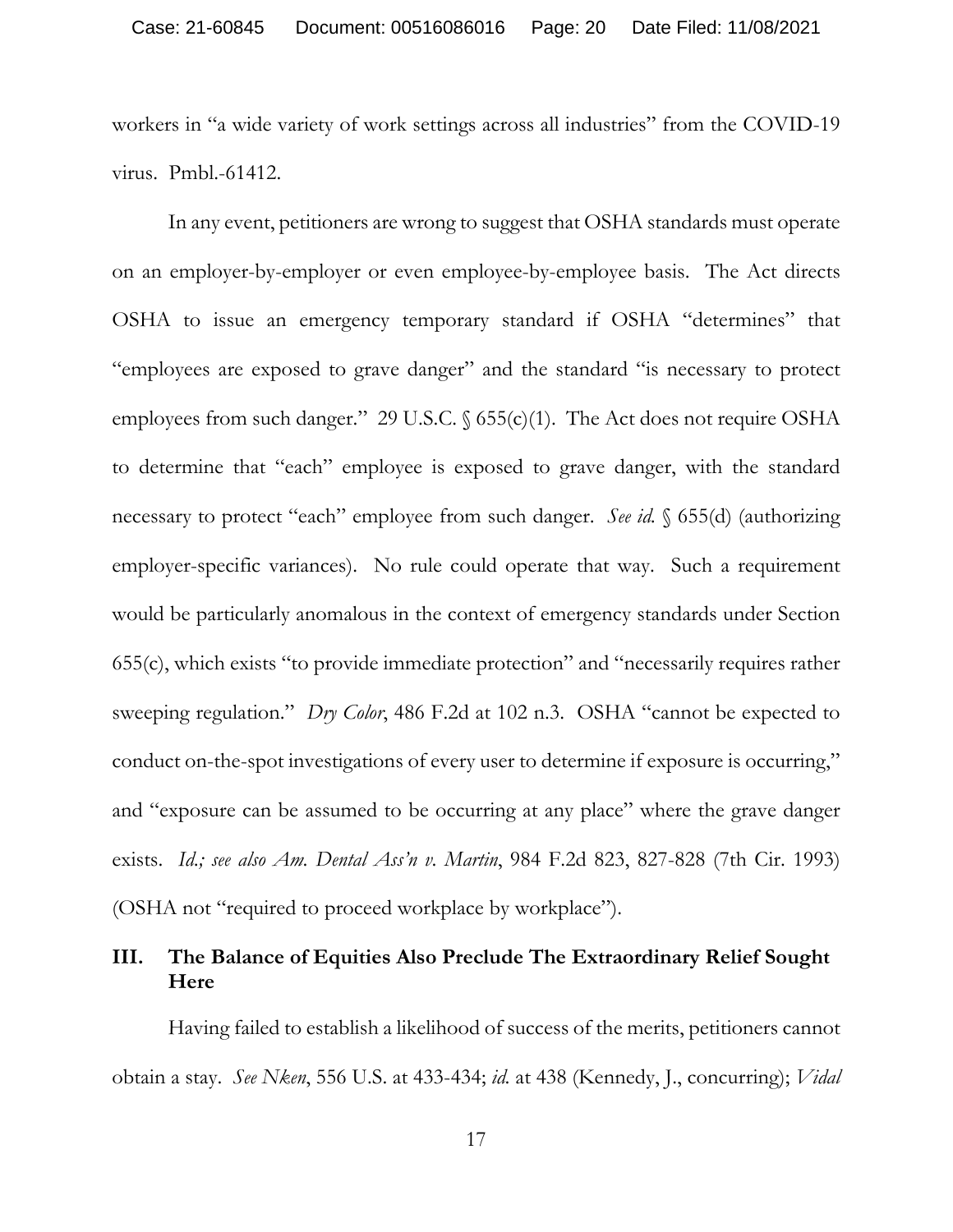workers in "a wide variety of work settings across all industries" from the COVID-19 virus. Pmbl.-61412.

 In any event, petitioners are wrong to suggest that OSHA standards must operate on an employer-by-employer or even employee-by-employee basis. The Act directs OSHA to issue an emergency temporary standard if OSHA "determines" that "employees are exposed to grave danger" and the standard "is necessary to protect employees from such danger." 29 U.S.C. § 655(c)(1). The Act does not require OSHA to determine that "each" employee is exposed to grave danger, with the standard necessary to protect "each" employee from such danger. *See id.* § 655(d) (authorizing employer-specific variances). No rule could operate that way. Such a requirement would be particularly anomalous in the context of emergency standards under Section 655(c), which exists "to provide immediate protection" and "necessarily requires rather sweeping regulation." *Dry Color*, 486 F.2d at 102 n.3. OSHA "cannot be expected to conduct on-the-spot investigations of every user to determine if exposure is occurring," and "exposure can be assumed to be occurring at any place" where the grave danger exists. *Id.; see also Am. Dental Ass'n v. Martin*, 984 F.2d 823, 827-828 (7th Cir. 1993) (OSHA not "required to proceed workplace by workplace").

## **III. The Balance of Equities Also Preclude The Extraordinary Relief Sought Here**

Having failed to establish a likelihood of success of the merits, petitioners cannot obtain a stay. *See Nken*, 556 U.S. at 433-434; *id.* at 438 (Kennedy, J., concurring); *Vidal*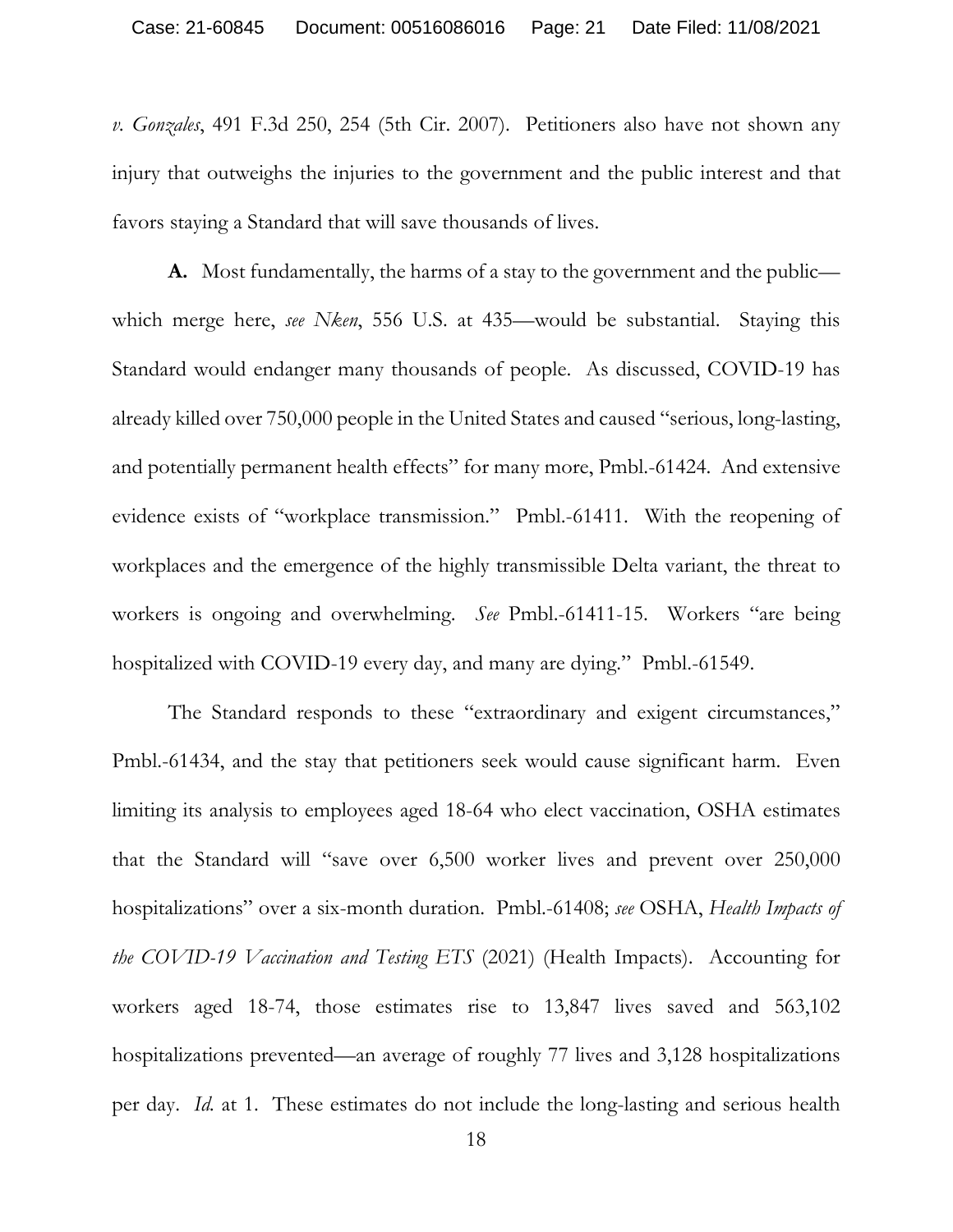*v. Gonzales*, 491 F.3d 250, 254 (5th Cir. 2007). Petitioners also have not shown any injury that outweighs the injuries to the government and the public interest and that favors staying a Standard that will save thousands of lives.

**A.** Most fundamentally, the harms of a stay to the government and the public which merge here, *see Nken*, 556 U.S. at 435—would be substantial. Staying this Standard would endanger many thousands of people. As discussed, COVID-19 has already killed over 750,000 people in the United States and caused "serious, long-lasting, and potentially permanent health effects" for many more, Pmbl.-61424. And extensive evidence exists of "workplace transmission." Pmbl.-61411. With the reopening of workplaces and the emergence of the highly transmissible Delta variant, the threat to workers is ongoing and overwhelming. *See* Pmbl.-61411-15. Workers "are being hospitalized with COVID-19 every day, and many are dying." Pmbl.-61549.

The Standard responds to these "extraordinary and exigent circumstances," Pmbl.-61434, and the stay that petitioners seek would cause significant harm. Even limiting its analysis to employees aged 18-64 who elect vaccination, OSHA estimates that the Standard will "save over 6,500 worker lives and prevent over 250,000 hospitalizations" over a six-month duration. Pmbl.-61408; *see* OSHA, *Health Impacts of the COVID-19 Vaccination and Testing ETS* (2021) (Health Impacts). Accounting for workers aged 18-74, those estimates rise to 13,847 lives saved and 563,102 hospitalizations prevented—an average of roughly 77 lives and 3,128 hospitalizations per day. *Id.* at 1. These estimates do not include the long-lasting and serious health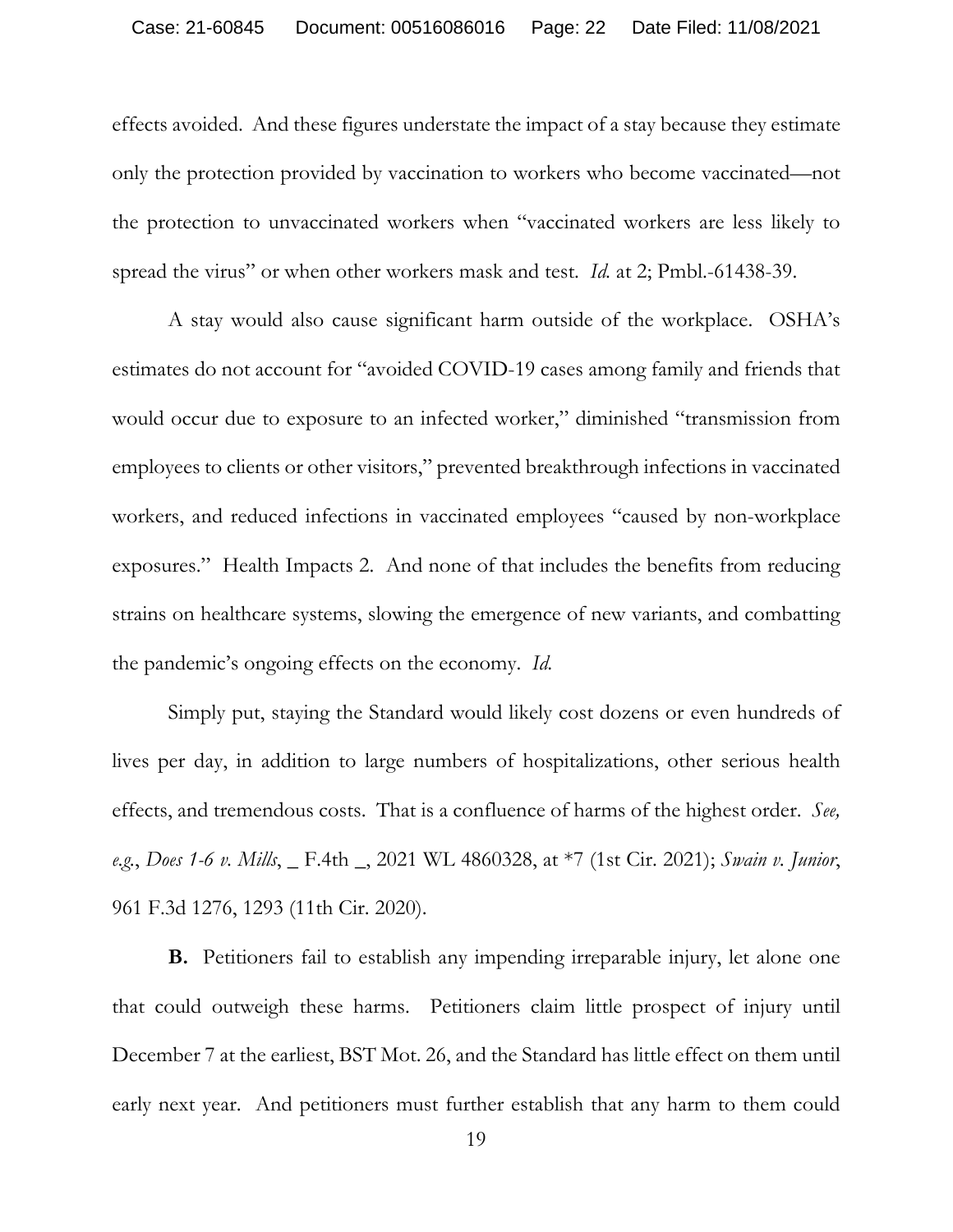effects avoided. And these figures understate the impact of a stay because they estimate only the protection provided by vaccination to workers who become vaccinated—not the protection to unvaccinated workers when "vaccinated workers are less likely to spread the virus" or when other workers mask and test. *Id.* at 2; Pmbl.-61438-39.

A stay would also cause significant harm outside of the workplace. OSHA's estimates do not account for "avoided COVID-19 cases among family and friends that would occur due to exposure to an infected worker," diminished "transmission from employees to clients or other visitors," prevented breakthrough infections in vaccinated workers, and reduced infections in vaccinated employees "caused by non-workplace exposures." Health Impacts 2. And none of that includes the benefits from reducing strains on healthcare systems, slowing the emergence of new variants, and combatting the pandemic's ongoing effects on the economy. *Id.*

Simply put, staying the Standard would likely cost dozens or even hundreds of lives per day, in addition to large numbers of hospitalizations, other serious health effects, and tremendous costs. That is a confluence of harms of the highest order. *See, e.g.*, *Does 1-6 v. Mills*, \_ F.4th \_, 2021 WL 4860328, at \*7 (1st Cir. 2021); *Swain v. Junior*, 961 F.3d 1276, 1293 (11th Cir. 2020).

**B.** Petitioners fail to establish any impending irreparable injury, let alone one that could outweigh these harms. Petitioners claim little prospect of injury until December 7 at the earliest, BST Mot. 26, and the Standard has little effect on them until early next year. And petitioners must further establish that any harm to them could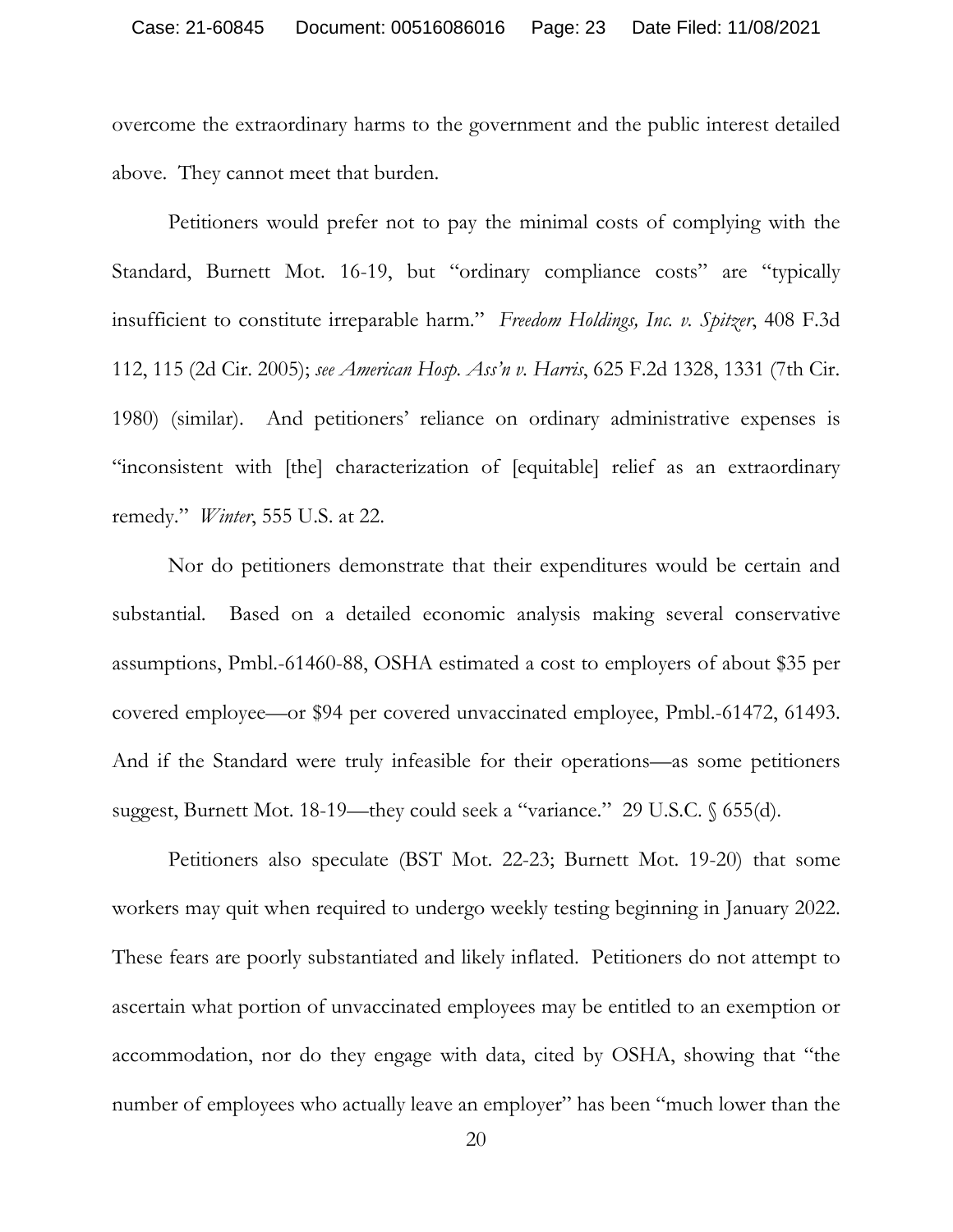overcome the extraordinary harms to the government and the public interest detailed above. They cannot meet that burden.

Petitioners would prefer not to pay the minimal costs of complying with the Standard, Burnett Mot. 16-19, but "ordinary compliance costs" are "typically insufficient to constitute irreparable harm." *Freedom Holdings, Inc. v. Spitzer*, 408 F.3d 112, 115 (2d Cir. 2005); *see American Hosp. Ass'n v. Harris*, 625 F.2d 1328, 1331 (7th Cir. 1980) (similar). And petitioners' reliance on ordinary administrative expenses is "inconsistent with [the] characterization of [equitable] relief as an extraordinary remedy." *Winter*, 555 U.S. at 22.

Nor do petitioners demonstrate that their expenditures would be certain and substantial. Based on a detailed economic analysis making several conservative assumptions, Pmbl.-61460-88, OSHA estimated a cost to employers of about \$35 per covered employee—or \$94 per covered unvaccinated employee, Pmbl.-61472, 61493. And if the Standard were truly infeasible for their operations—as some petitioners suggest, Burnett Mot. 18-19—they could seek a "variance." 29 U.S.C. § 655(d).

Petitioners also speculate (BST Mot. 22-23; Burnett Mot. 19-20) that some workers may quit when required to undergo weekly testing beginning in January 2022. These fears are poorly substantiated and likely inflated. Petitioners do not attempt to ascertain what portion of unvaccinated employees may be entitled to an exemption or accommodation, nor do they engage with data, cited by OSHA, showing that "the number of employees who actually leave an employer" has been "much lower than the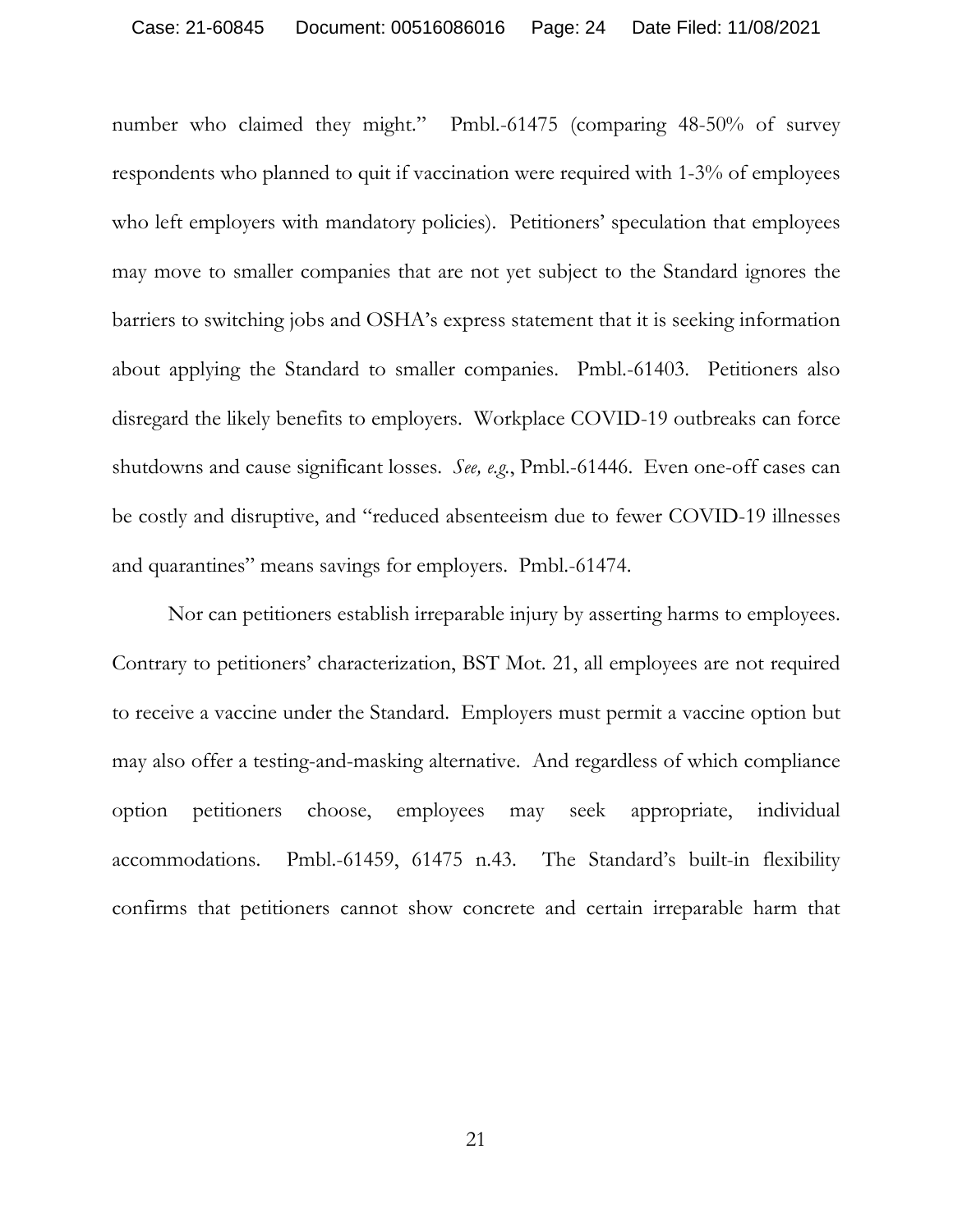number who claimed they might." Pmbl.-61475 (comparing 48-50% of survey respondents who planned to quit if vaccination were required with 1-3% of employees who left employers with mandatory policies). Petitioners' speculation that employees may move to smaller companies that are not yet subject to the Standard ignores the barriers to switching jobs and OSHA's express statement that it is seeking information about applying the Standard to smaller companies. Pmbl.-61403. Petitioners also disregard the likely benefits to employers. Workplace COVID-19 outbreaks can force shutdowns and cause significant losses. *See, e.g.*, Pmbl.-61446. Even one-off cases can be costly and disruptive, and "reduced absenteeism due to fewer COVID-19 illnesses and quarantines" means savings for employers. Pmbl.-61474.

Nor can petitioners establish irreparable injury by asserting harms to employees. Contrary to petitioners' characterization, BST Mot. 21, all employees are not required to receive a vaccine under the Standard. Employers must permit a vaccine option but may also offer a testing-and-masking alternative. And regardless of which compliance option petitioners choose, employees may seek appropriate, individual accommodations. Pmbl.-61459, 61475 n.43. The Standard's built-in flexibility confirms that petitioners cannot show concrete and certain irreparable harm that

21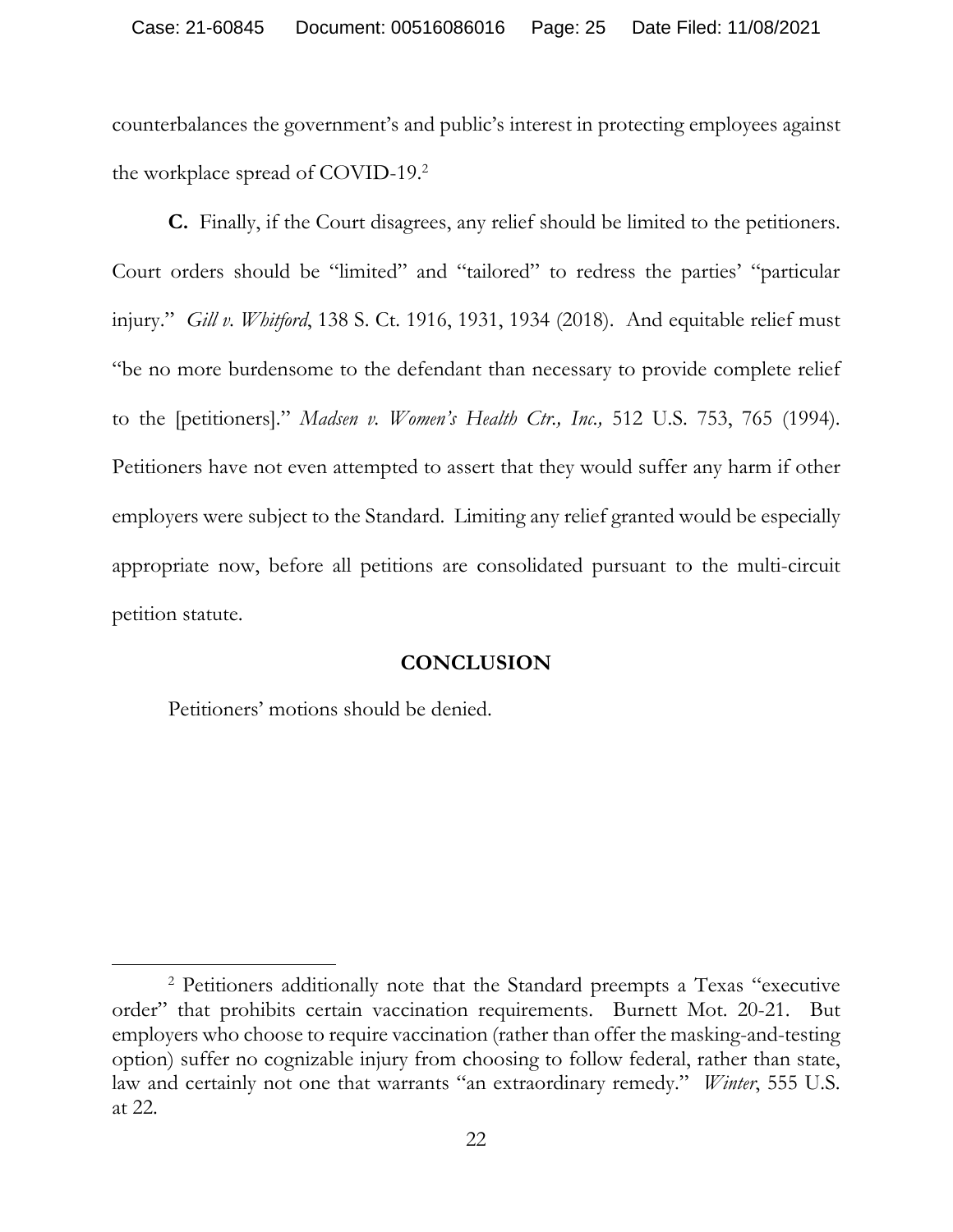counterbalances the government's and public's interest in protecting employees against the workplace spread of COVID-19.2

**C.** Finally, if the Court disagrees, any relief should be limited to the petitioners. Court orders should be "limited" and "tailored" to redress the parties' "particular injury." *Gill v. Whitford*, 138 S. Ct. 1916, 1931, 1934 (2018). And equitable relief must "be no more burdensome to the defendant than necessary to provide complete relief to the [petitioners]." *Madsen v. Women's Health Ctr., Inc.,* 512 U.S. 753, 765 (1994). Petitioners have not even attempted to assert that they would suffer any harm if other employers were subject to the Standard. Limiting any relief granted would be especially appropriate now, before all petitions are consolidated pursuant to the multi-circuit petition statute.

### **CONCLUSION**

Petitioners' motions should be denied.

 $\overline{a}$ 

<sup>2</sup> Petitioners additionally note that the Standard preempts a Texas "executive order" that prohibits certain vaccination requirements. Burnett Mot. 20-21. But employers who choose to require vaccination (rather than offer the masking-and-testing option) suffer no cognizable injury from choosing to follow federal, rather than state, law and certainly not one that warrants "an extraordinary remedy." *Winter*, 555 U.S. at 22.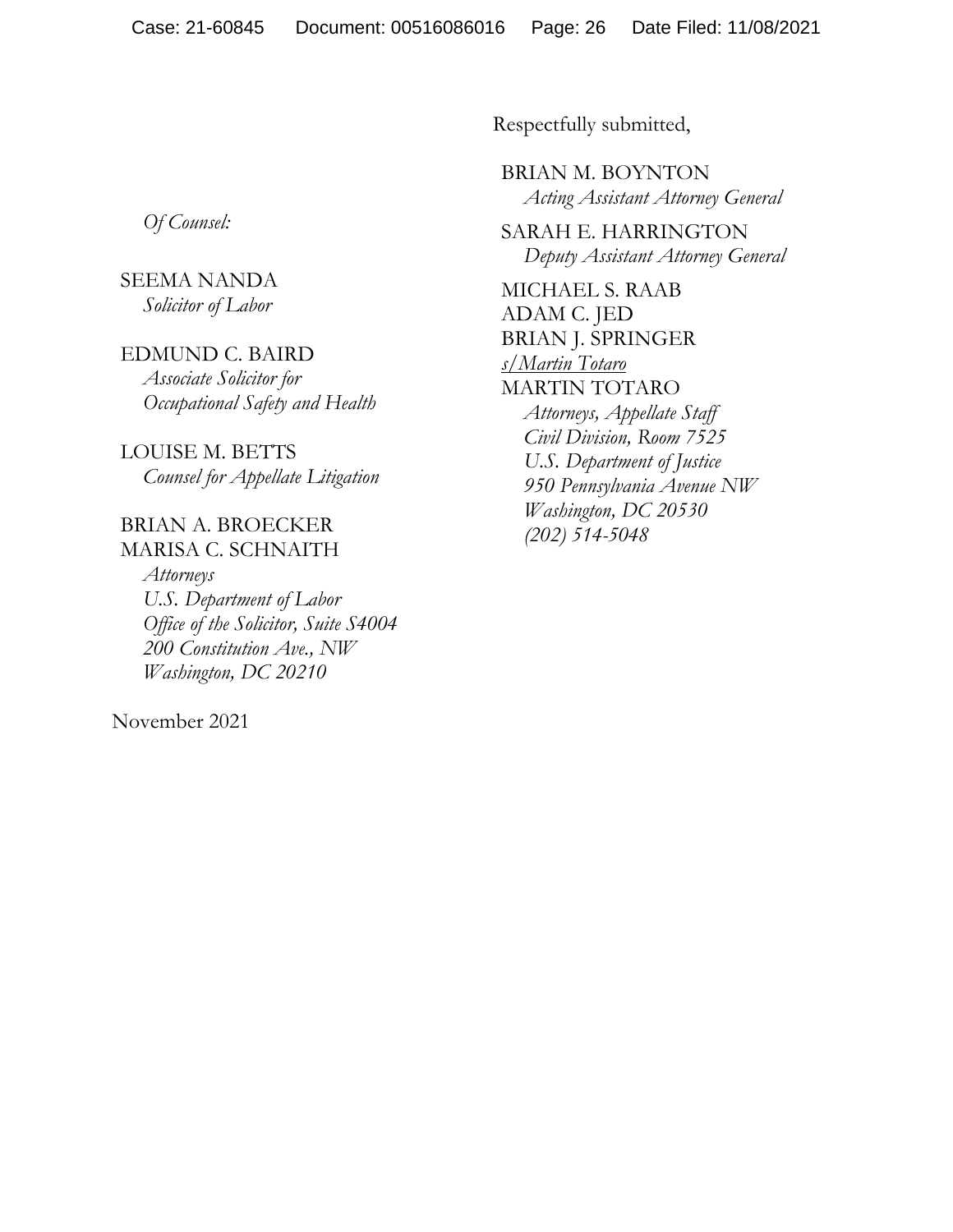*Of Counsel:* 

## SEEMA NANDA *Solicitor of Labor*

#### EDMUND C. BAIRD

*Associate Solicitor for Occupational Safety and Health*

LOUISE M. BETTS *Counsel for Appellate Litigation* 

## BRIAN A. BROECKER MARISA C. SCHNAITH

*Attorneys U.S. Department of Labor Office of the Solicitor, Suite S4004 200 Constitution Ave., NW Washington, DC 20210*

November 2021

Respectfully submitted,

BRIAN M. BOYNTON *Acting Assistant Attorney General* 

SARAH E. HARRINGTON *Deputy Assistant Attorney General* 

MICHAEL S. RAAB ADAM C. JED BRIAN J. SPRINGER *s/Martin Totaro*  MARTIN TOTARO *Attorneys, Appellate Staff Civil Division, Room 7525 U.S. Department of Justice 950 Pennsylvania Avenue NW Washington, DC 20530 (202) 514-5048*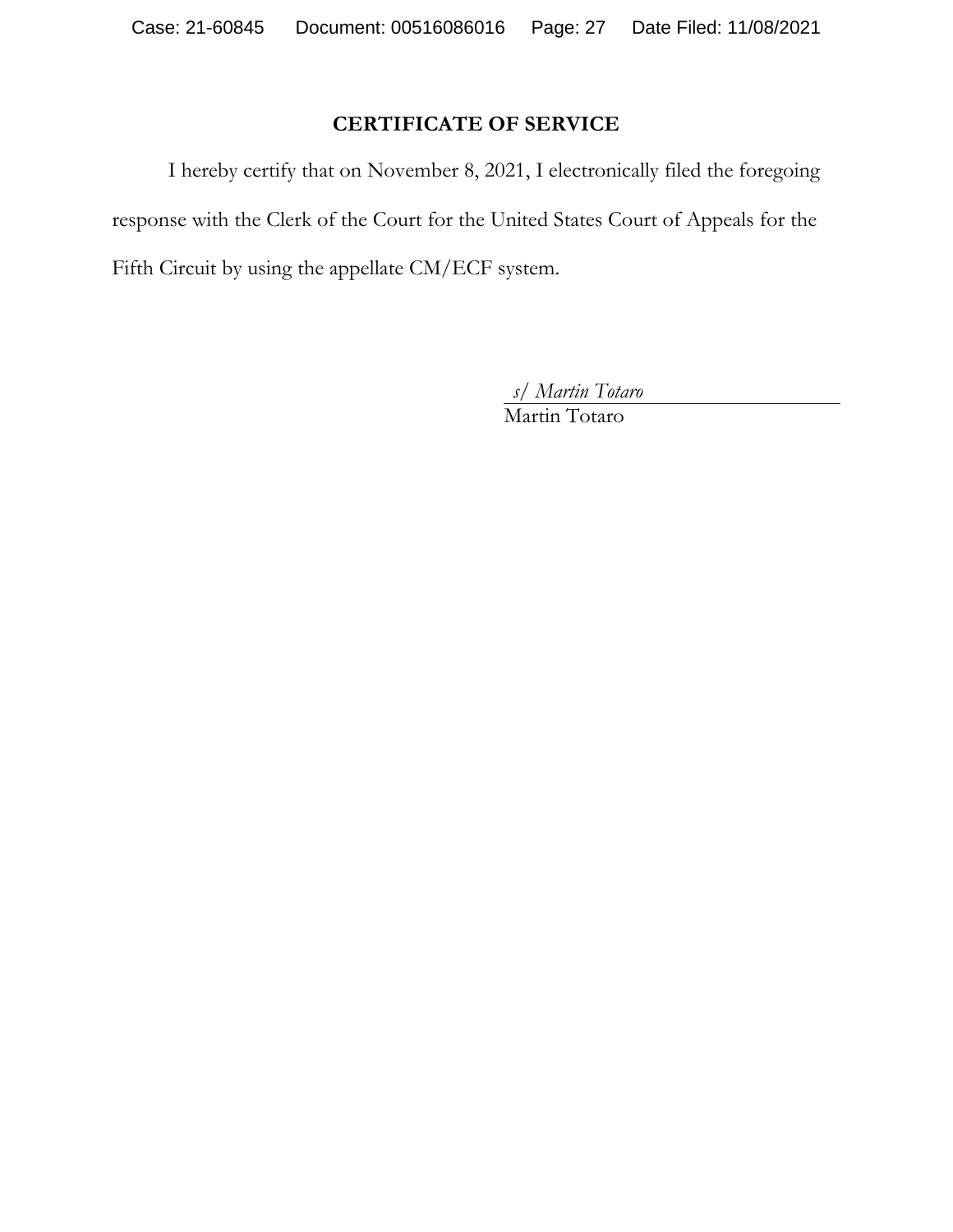## **CERTIFICATE OF SERVICE**

I hereby certify that on November 8, 2021, I electronically filed the foregoing response with the Clerk of the Court for the United States Court of Appeals for the Fifth Circuit by using the appellate CM/ECF system.

*s/ Martin Totaro* 

Martin Totaro